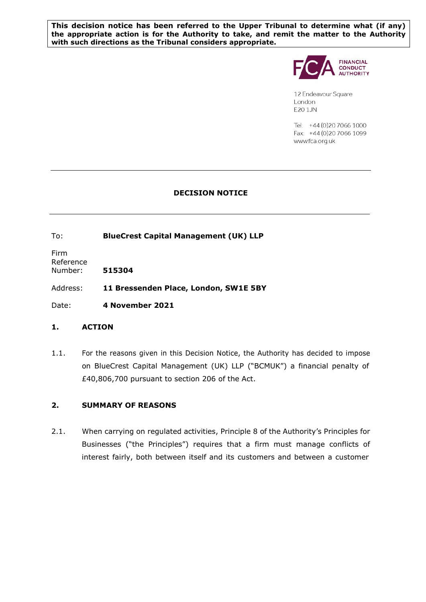**This decision notice has been referred to the Upper Tribunal to determine what (if any) the appropriate action is for the Authority to take, and remit the matter to the Authority with such directions as the Tribunal considers appropriate.** 



12 Endeavour Square London E201JN

Tel: +44 (0) 20 7066 1000 Fax: +44 (0) 20 7066 1099 www.fca.org.uk

# **DECISION NOTICE**

To: **BlueCrest Capital Management (UK) LLP**

Firm Reference Number: **515304** 

Address: **11 Bressenden Place, London, SW1E 5BY**

Date: **4 November 2021** 

# **1. ACTION**

1.1. For the reasons given in this Decision Notice, the Authority has decided to impose on BlueCrest Capital Management (UK) LLP ("BCMUK") a financial penalty of £40,806,700 pursuant to section 206 of the Act.

# **2. SUMMARY OF REASONS**

2.1. When carrying on regulated activities, Principle 8 of the Authority's Principles for Businesses ("the Principles") requires that a firm must manage conflicts of interest fairly, both between itself and its customers and between a customer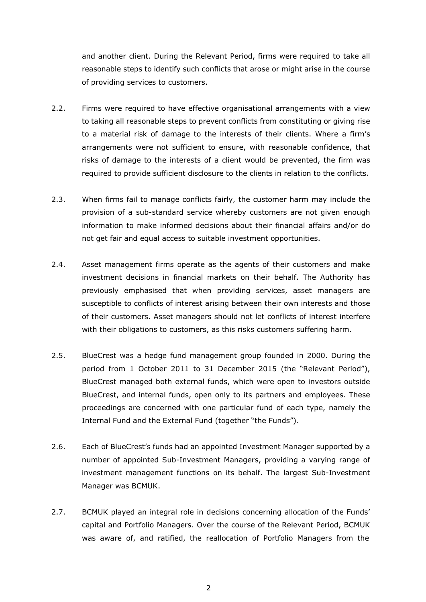and another client. During the Relevant Period, firms were required to take all reasonable steps to identify such conflicts that arose or might arise in the course of providing services to customers.

- 2.2. Firms were required to have effective organisational arrangements with a view to taking all reasonable steps to prevent conflicts from constituting or giving rise to a material risk of damage to the interests of their clients. Where a firm's arrangements were not sufficient to ensure, with reasonable confidence, that risks of damage to the interests of a client would be prevented, the firm was required to provide sufficient disclosure to the clients in relation to the conflicts.
- 2.3. When firms fail to manage conflicts fairly, the customer harm may include the provision of a sub-standard service whereby customers are not given enough information to make informed decisions about their financial affairs and/or do not get fair and equal access to suitable investment opportunities.
- 2.4. Asset management firms operate as the agents of their customers and make investment decisions in financial markets on their behalf. The Authority has previously emphasised that when providing services, asset managers are susceptible to conflicts of interest arising between their own interests and those of their customers. Asset managers should not let conflicts of interest interfere with their obligations to customers, as this risks customers suffering harm.
- 2.5. BlueCrest was a hedge fund management group founded in 2000. During the period from 1 October 2011 to 31 December 2015 (the "Relevant Period"), BlueCrest managed both external funds, which were open to investors outside BlueCrest, and internal funds, open only to its partners and employees. These proceedings are concerned with one particular fund of each type, namely the Internal Fund and the External Fund (together "the Funds").
- 2.6. Each of BlueCrest's funds had an appointed Investment Manager supported by a number of appointed Sub-Investment Managers, providing a varying range of investment management functions on its behalf. The largest Sub-Investment Manager was BCMUK.
- 2.7. BCMUK played an integral role in decisions concerning allocation of the Funds' capital and Portfolio Managers. Over the course of the Relevant Period, BCMUK was aware of, and ratified, the reallocation of Portfolio Managers from the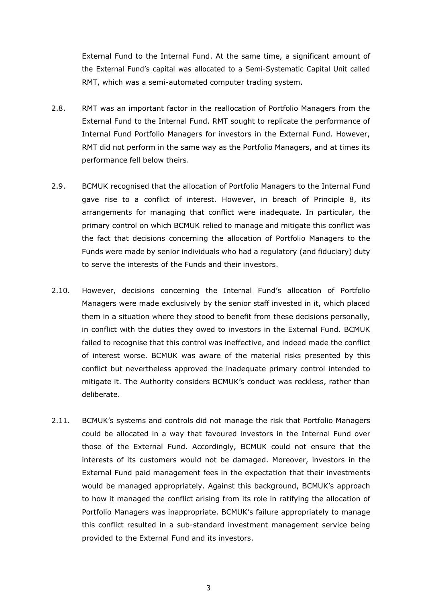External Fund to the Internal Fund. At the same time, a significant amount of the External Fund's capital was allocated to a Semi-Systematic Capital Unit called RMT, which was a semi-automated computer trading system.

- 2.8. RMT was an important factor in the reallocation of Portfolio Managers from the External Fund to the Internal Fund. RMT sought to replicate the performance of Internal Fund Portfolio Managers for investors in the External Fund. However, RMT did not perform in the same way as the Portfolio Managers, and at times its performance fell below theirs.
- 2.9. BCMUK recognised that the allocation of Portfolio Managers to the Internal Fund gave rise to a conflict of interest. However, in breach of Principle 8, its arrangements for managing that conflict were inadequate. In particular, the primary control on which BCMUK relied to manage and mitigate this conflict was the fact that decisions concerning the allocation of Portfolio Managers to the Funds were made by senior individuals who had a regulatory (and fiduciary) duty to serve the interests of the Funds and their investors.
- 2.10. However, decisions concerning the Internal Fund's allocation of Portfolio Managers were made exclusively by the senior staff invested in it, which placed them in a situation where they stood to benefit from these decisions personally, in conflict with the duties they owed to investors in the External Fund. BCMUK failed to recognise that this control was ineffective, and indeed made the conflict of interest worse. BCMUK was aware of the material risks presented by this conflict but nevertheless approved the inadequate primary control intended to mitigate it. The Authority considers BCMUK's conduct was reckless, rather than deliberate.
- 2.11. BCMUK's systems and controls did not manage the risk that Portfolio Managers could be allocated in a way that favoured investors in the Internal Fund over those of the External Fund. Accordingly, BCMUK could not ensure that the interests of its customers would not be damaged. Moreover, investors in the External Fund paid management fees in the expectation that their investments would be managed appropriately. Against this background, BCMUK's approach to how it managed the conflict arising from its role in ratifying the allocation of Portfolio Managers was inappropriate. BCMUK's failure appropriately to manage this conflict resulted in a sub-standard investment management service being provided to the External Fund and its investors.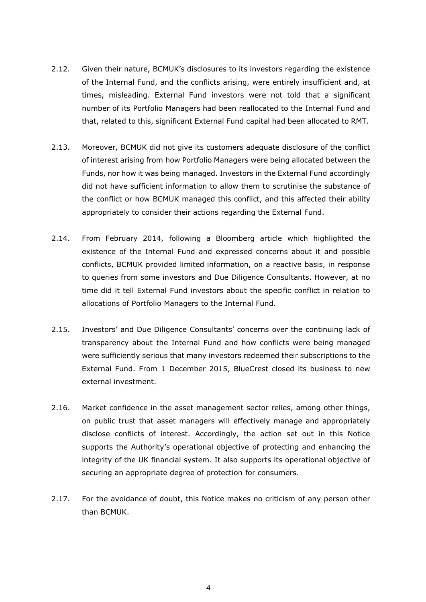- 2.12. Given their nature, BCMUK's disclosures to its investors regarding the existence of the Internal Fund, and the conflicts arising, were entirely insufficient and, at times, misleading. External Fund investors were not told that a significant number of its Portfolio Managers had been reallocated to the Internal Fund and that, related to this, significant External Fund capital had been allocated to RMT.
- 2.13. Moreover, BCMUK did not give its customers adequate disclosure of the conflict of interest arising from how Portfolio Managers were being allocated between the Funds, nor how it was being managed. Investors in the External Fund accordingly did not have sufficient information to allow them to scrutinise the substance of the conflict or how BCMUK managed this conflict, and this affected their ability appropriately to consider their actions regarding the External Fund.
- 2.14. From February 2014, following a Bloomberg article which highlighted the existence of the Internal Fund and expressed concerns about it and possible conflicts, BCMUK provided limited information, on a reactive basis, in response to queries from some investors and Due Diligence Consultants. However, at no time did it tell External Fund investors about the specific conflict in relation to allocations of Portfolio Managers to the Internal Fund.
- 2.15. Investors' and Due Diligence Consultants' concerns over the continuing lack of transparency about the Internal Fund and how conflicts were being managed were sufficiently serious that many investors redeemed their subscriptions to the External Fund. From 1 December 2015, BlueCrest closed its business to new external investment.
- 2.16. Market confidence in the asset management sector relies, among other things, on public trust that asset managers will effectively manage and appropriately disclose conflicts of interest. Accordingly, the action set out in this Notice supports the Authority's operational objective of protecting and enhancing the integrity of the UK financial system. It also supports its operational objective of securing an appropriate degree of protection for consumers.
- 2.17. For the avoidance of doubt, this Notice makes no criticism of any person other than BCMUK.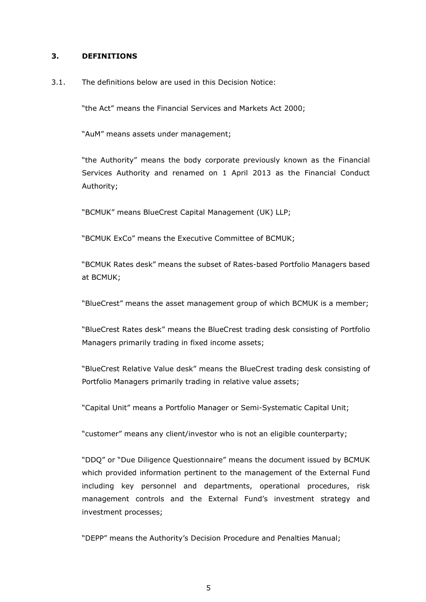#### **3. DEFINITIONS**

#### 3.1. The definitions below are used in this Decision Notice:

"the Act" means the Financial Services and Markets Act 2000;

"AuM" means assets under management;

"the Authority" means the body corporate previously known as the Financial Services Authority and renamed on 1 April 2013 as the Financial Conduct Authority;

"BCMUK" means BlueCrest Capital Management (UK) LLP;

"BCMUK ExCo" means the Executive Committee of BCMUK;

"BCMUK Rates desk" means the subset of Rates-based Portfolio Managers based at BCMUK;

"BlueCrest" means the asset management group of which BCMUK is a member;

"BlueCrest Rates desk" means the BlueCrest trading desk consisting of Portfolio Managers primarily trading in fixed income assets;

"BlueCrest Relative Value desk" means the BlueCrest trading desk consisting of Portfolio Managers primarily trading in relative value assets;

"Capital Unit" means a Portfolio Manager or Semi-Systematic Capital Unit;

"customer" means any client/investor who is not an eligible counterparty;

"DDQ" or "Due Diligence Questionnaire" means the document issued by BCMUK which provided information pertinent to the management of the External Fund including key personnel and departments, operational procedures, risk management controls and the External Fund's investment strategy and investment processes;

"DEPP" means the Authority's Decision Procedure and Penalties Manual;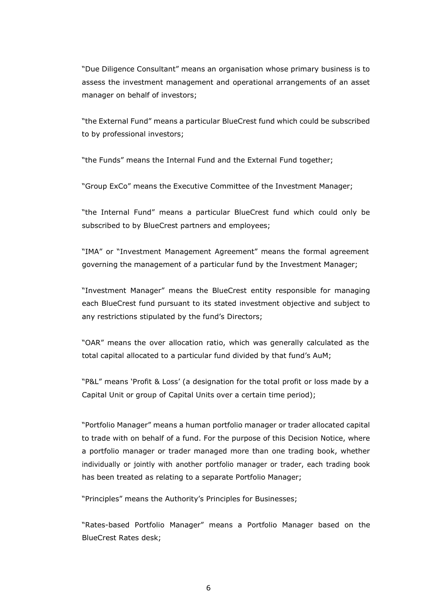"Due Diligence Consultant" means an organisation whose primary business is to assess the investment management and operational arrangements of an asset manager on behalf of investors;

"the External Fund" means a particular BlueCrest fund which could be subscribed to by professional investors;

"the Funds" means the Internal Fund and the External Fund together;

"Group ExCo" means the Executive Committee of the Investment Manager;

"the Internal Fund" means a particular BlueCrest fund which could only be subscribed to by BlueCrest partners and employees;

"IMA" or "Investment Management Agreement" means the formal agreement governing the management of a particular fund by the Investment Manager;

"Investment Manager" means the BlueCrest entity responsible for managing each BlueCrest fund pursuant to its stated investment objective and subject to any restrictions stipulated by the fund's Directors;

"OAR" means the over allocation ratio, which was generally calculated as the total capital allocated to a particular fund divided by that fund's AuM;

"P&L" means 'Profit & Loss' (a designation for the total profit or loss made by a Capital Unit or group of Capital Units over a certain time period);

"Portfolio Manager" means a human portfolio manager or trader allocated capital to trade with on behalf of a fund. For the purpose of this Decision Notice, where a portfolio manager or trader managed more than one trading book, whether individually or jointly with another portfolio manager or trader, each trading book has been treated as relating to a separate Portfolio Manager;

"Principles" means the Authority's Principles for Businesses;

"Rates-based Portfolio Manager" means a Portfolio Manager based on the BlueCrest Rates desk;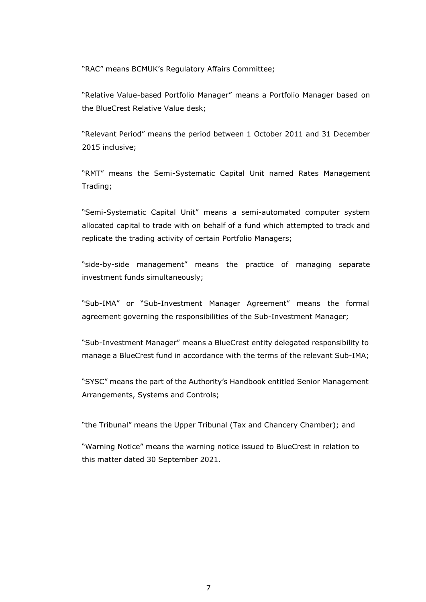"RAC" means BCMUK's Regulatory Affairs Committee;

"Relative Value-based Portfolio Manager" means a Portfolio Manager based on the BlueCrest Relative Value desk;

"Relevant Period" means the period between 1 October 2011 and 31 December 2015 inclusive;

"RMT" means the Semi-Systematic Capital Unit named Rates Management Trading;

"Semi-Systematic Capital Unit" means a semi-automated computer system allocated capital to trade with on behalf of a fund which attempted to track and replicate the trading activity of certain Portfolio Managers;

"side-by-side management" means the practice of managing separate investment funds simultaneously;

"Sub-IMA" or "Sub-Investment Manager Agreement" means the formal agreement governing the responsibilities of the Sub-Investment Manager;

"Sub-Investment Manager" means a BlueCrest entity delegated responsibility to manage a BlueCrest fund in accordance with the terms of the relevant Sub-IMA;

"SYSC" means the part of the Authority's Handbook entitled Senior Management Arrangements, Systems and Controls;

"the Tribunal" means the Upper Tribunal (Tax and Chancery Chamber); and

"Warning Notice" means the warning notice issued to BlueCrest in relation to this matter dated 30 September 2021.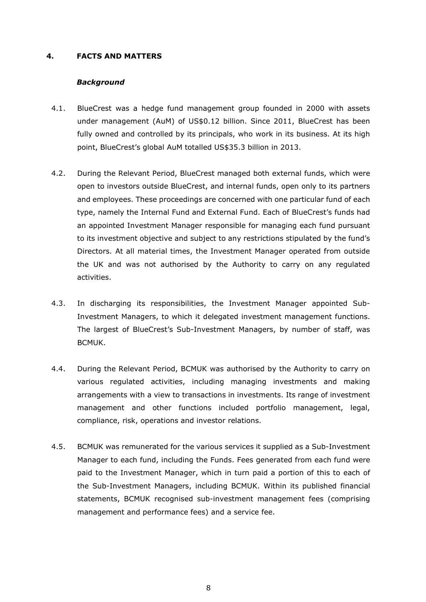### **4. FACTS AND MATTERS**

### *Background*

- 4.1. BlueCrest was a hedge fund management group founded in 2000 with assets under management (AuM) of US\$0.12 billion. Since 2011, BlueCrest has been fully owned and controlled by its principals, who work in its business. At its high point, BlueCrest's global AuM totalled US\$35.3 billion in 2013.
- 4.2. During the Relevant Period, BlueCrest managed both external funds, which were open to investors outside BlueCrest, and internal funds, open only to its partners and employees. These proceedings are concerned with one particular fund of each type, namely the Internal Fund and External Fund. Each of BlueCrest's funds had an appointed Investment Manager responsible for managing each fund pursuant to its investment objective and subject to any restrictions stipulated by the fund's Directors. At all material times, the Investment Manager operated from outside the UK and was not authorised by the Authority to carry on any regulated activities.
- 4.3. In discharging its responsibilities, the Investment Manager appointed Sub-Investment Managers, to which it delegated investment management functions. The largest of BlueCrest's Sub-Investment Managers, by number of staff, was BCMUK.
- 4.4. During the Relevant Period, BCMUK was authorised by the Authority to carry on various regulated activities, including managing investments and making arrangements with a view to transactions in investments. Its range of investment management and other functions included portfolio management, legal, compliance, risk, operations and investor relations.
- 4.5. BCMUK was remunerated for the various services it supplied as a Sub-Investment Manager to each fund, including the Funds. Fees generated from each fund were paid to the Investment Manager, which in turn paid a portion of this to each of the Sub-Investment Managers, including BCMUK. Within its published financial statements, BCMUK recognised sub-investment management fees (comprising management and performance fees) and a service fee.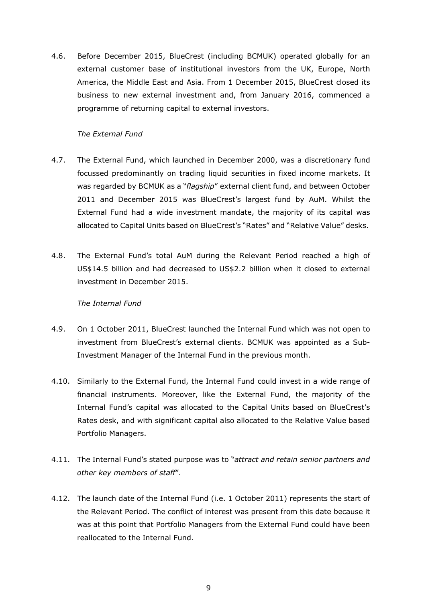4.6. Before December 2015, BlueCrest (including BCMUK) operated globally for an external customer base of institutional investors from the UK, Europe, North America, the Middle East and Asia. From 1 December 2015, BlueCrest closed its business to new external investment and, from January 2016, commenced a programme of returning capital to external investors.

## *The External Fund*

- 4.7. The External Fund, which launched in December 2000, was a discretionary fund focussed predominantly on trading liquid securities in fixed income markets. It was regarded by BCMUK as a "*flagship*" external client fund, and between October 2011 and December 2015 was BlueCrest's largest fund by AuM. Whilst the External Fund had a wide investment mandate, the majority of its capital was allocated to Capital Units based on BlueCrest's "Rates" and "Relative Value" desks.
- 4.8. The External Fund's total AuM during the Relevant Period reached a high of US\$14.5 billion and had decreased to US\$2.2 billion when it closed to external investment in December 2015.

#### *The Internal Fund*

- 4.9. On 1 October 2011, BlueCrest launched the Internal Fund which was not open to investment from BlueCrest's external clients. BCMUK was appointed as a Sub-Investment Manager of the Internal Fund in the previous month.
- 4.10. Similarly to the External Fund, the Internal Fund could invest in a wide range of financial instruments. Moreover, like the External Fund, the majority of the Internal Fund's capital was allocated to the Capital Units based on BlueCrest's Rates desk, and with significant capital also allocated to the Relative Value based Portfolio Managers.
- 4.11. The Internal Fund's stated purpose was to "*attract and retain senior partners and other key members of staff*".
- 4.12. The launch date of the Internal Fund (i.e. 1 October 2011) represents the start of the Relevant Period. The conflict of interest was present from this date because it was at this point that Portfolio Managers from the External Fund could have been reallocated to the Internal Fund.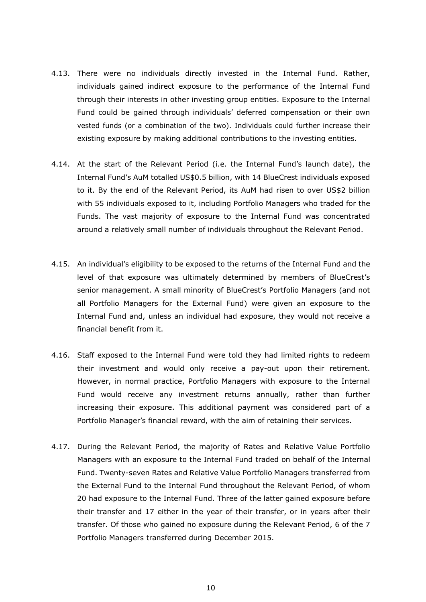- 4.13. There were no individuals directly invested in the Internal Fund. Rather, individuals gained indirect exposure to the performance of the Internal Fund through their interests in other investing group entities. Exposure to the Internal Fund could be gained through individuals' deferred compensation or their own vested funds (or a combination of the two). Individuals could further increase their existing exposure by making additional contributions to the investing entities.
- 4.14. At the start of the Relevant Period (i.e. the Internal Fund's launch date), the Internal Fund's AuM totalled US\$0.5 billion, with 14 BlueCrest individuals exposed to it. By the end of the Relevant Period, its AuM had risen to over US\$2 billion with 55 individuals exposed to it, including Portfolio Managers who traded for the Funds. The vast majority of exposure to the Internal Fund was concentrated around a relatively small number of individuals throughout the Relevant Period.
- 4.15. An individual's eligibility to be exposed to the returns of the Internal Fund and the level of that exposure was ultimately determined by members of BlueCrest's senior management. A small minority of BlueCrest's Portfolio Managers (and not all Portfolio Managers for the External Fund) were given an exposure to the Internal Fund and, unless an individual had exposure, they would not receive a financial benefit from it.
- 4.16. Staff exposed to the Internal Fund were told they had limited rights to redeem their investment and would only receive a pay-out upon their retirement. However, in normal practice, Portfolio Managers with exposure to the Internal Fund would receive any investment returns annually, rather than further increasing their exposure. This additional payment was considered part of a Portfolio Manager's financial reward, with the aim of retaining their services.
- 4.17. During the Relevant Period, the majority of Rates and Relative Value Portfolio Managers with an exposure to the Internal Fund traded on behalf of the Internal Fund. Twenty-seven Rates and Relative Value Portfolio Managers transferred from the External Fund to the Internal Fund throughout the Relevant Period, of whom 20 had exposure to the Internal Fund. Three of the latter gained exposure before their transfer and 17 either in the year of their transfer, or in years after their transfer. Of those who gained no exposure during the Relevant Period, 6 of the 7 Portfolio Managers transferred during December 2015.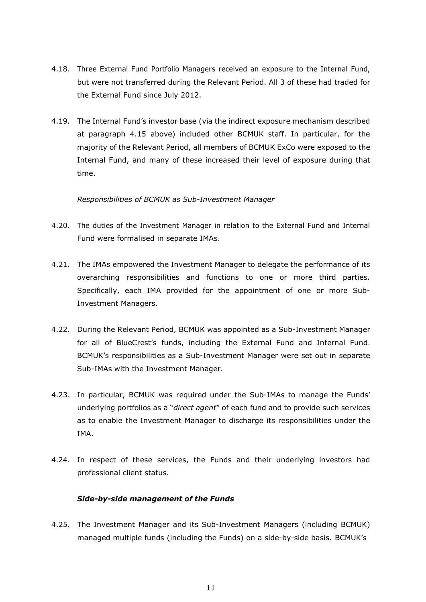- 4.18. Three External Fund Portfolio Managers received an exposure to the Internal Fund, but were not transferred during the Relevant Period. All 3 of these had traded for the External Fund since July 2012.
- 4.19. The Internal Fund's investor base (via the indirect exposure mechanism described at paragraph 4.15 above) included other BCMUK staff. In particular, for the majority of the Relevant Period, all members of BCMUK ExCo were exposed to the Internal Fund, and many of these increased their level of exposure during that time.

#### *Responsibilities of BCMUK as Sub-Investment Manager*

- 4.20. The duties of the Investment Manager in relation to the External Fund and Internal Fund were formalised in separate IMAs.
- 4.21. The IMAs empowered the Investment Manager to delegate the performance of its overarching responsibilities and functions to one or more third parties. Specifically, each IMA provided for the appointment of one or more Sub-Investment Managers.
- 4.22. During the Relevant Period, BCMUK was appointed as a Sub-Investment Manager for all of BlueCrest's funds, including the External Fund and Internal Fund. BCMUK's responsibilities as a Sub-Investment Manager were set out in separate Sub-IMAs with the Investment Manager.
- 4.23. In particular, BCMUK was required under the Sub-IMAs to manage the Funds' underlying portfolios as a "*direct agent*" of each fund and to provide such services as to enable the Investment Manager to discharge its responsibilities under the IMA.
- 4.24. In respect of these services, the Funds and their underlying investors had professional client status.

#### *Side-by-side management of the Funds*

4.25. The Investment Manager and its Sub-Investment Managers (including BCMUK) managed multiple funds (including the Funds) on a side-by-side basis. BCMUK's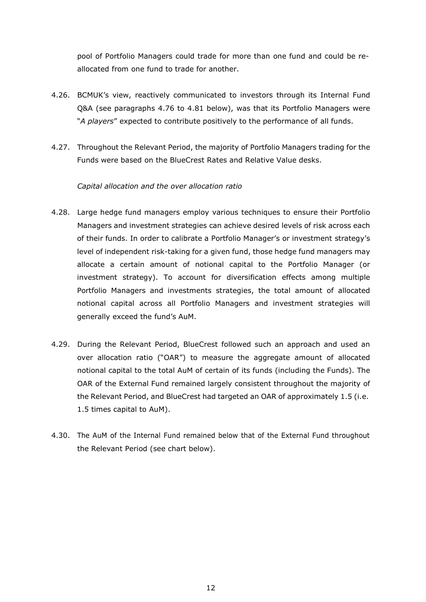pool of Portfolio Managers could trade for more than one fund and could be reallocated from one fund to trade for another.

- 4.26. BCMUK's view, reactively communicated to investors through its Internal Fund Q&A (see paragraphs 4.76 to 4.81 below), was that its Portfolio Managers were "*A players*" expected to contribute positively to the performance of all funds.
- 4.27. Throughout the Relevant Period, the majority of Portfolio Managers trading for the Funds were based on the BlueCrest Rates and Relative Value desks.

# *Capital allocation and the over allocation ratio*

- 4.28. Large hedge fund managers employ various techniques to ensure their Portfolio Managers and investment strategies can achieve desired levels of risk across each of their funds. In order to calibrate a Portfolio Manager's or investment strategy's level of independent risk-taking for a given fund, those hedge fund managers may allocate a certain amount of notional capital to the Portfolio Manager (or investment strategy). To account for diversification effects among multiple Portfolio Managers and investments strategies, the total amount of allocated notional capital across all Portfolio Managers and investment strategies will generally exceed the fund's AuM.
- 4.29. During the Relevant Period, BlueCrest followed such an approach and used an over allocation ratio ("OAR") to measure the aggregate amount of allocated notional capital to the total AuM of certain of its funds (including the Funds). The OAR of the External Fund remained largely consistent throughout the majority of the Relevant Period, and BlueCrest had targeted an OAR of approximately 1.5 (i.e. 1.5 times capital to AuM).
- 4.30. The AuM of the Internal Fund remained below that of the External Fund throughout the Relevant Period (see chart below).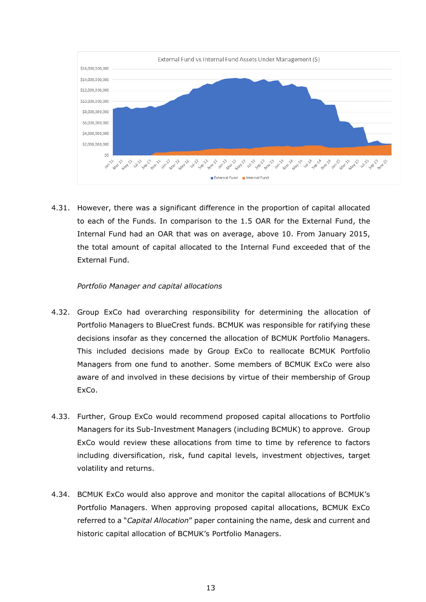

4.31. However, there was a significant difference in the proportion of capital allocated to each of the Funds. In comparison to the 1.5 OAR for the External Fund, the Internal Fund had an OAR that was on average, above 10. From January 2015, the total amount of capital allocated to the Internal Fund exceeded that of the External Fund.

## *Portfolio Manager and capital allocations*

- 4.32. Group ExCo had overarching responsibility for determining the allocation of Portfolio Managers to BlueCrest funds. BCMUK was responsible for ratifying these decisions insofar as they concerned the allocation of BCMUK Portfolio Managers. This included decisions made by Group ExCo to reallocate BCMUK Portfolio Managers from one fund to another. Some members of BCMUK ExCo were also aware of and involved in these decisions by virtue of their membership of Group ExCo.
- 4.33. Further, Group ExCo would recommend proposed capital allocations to Portfolio Managers for its Sub-Investment Managers (including BCMUK) to approve. Group ExCo would review these allocations from time to time by reference to factors including diversification, risk, fund capital levels, investment objectives, target volatility and returns.
- 4.34. BCMUK ExCo would also approve and monitor the capital allocations of BCMUK's Portfolio Managers. When approving proposed capital allocations, BCMUK ExCo referred to a "*Capital Allocation*" paper containing the name, desk and current and historic capital allocation of BCMUK's Portfolio Managers.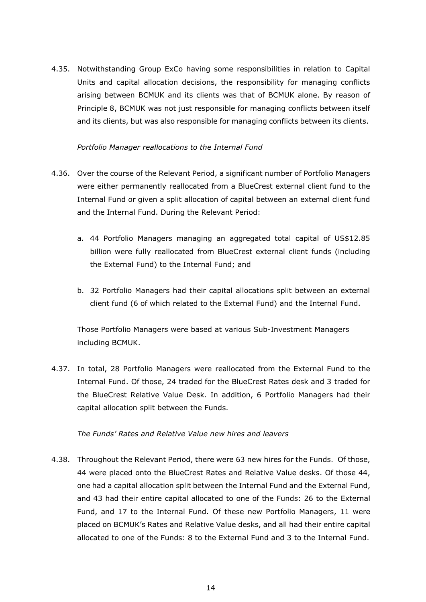4.35. Notwithstanding Group ExCo having some responsibilities in relation to Capital Units and capital allocation decisions, the responsibility for managing conflicts arising between BCMUK and its clients was that of BCMUK alone. By reason of Principle 8, BCMUK was not just responsible for managing conflicts between itself and its clients, but was also responsible for managing conflicts between its clients.

### *Portfolio Manager reallocations to the Internal Fund*

- 4.36. Over the course of the Relevant Period, a significant number of Portfolio Managers were either permanently reallocated from a BlueCrest external client fund to the Internal Fund or given a split allocation of capital between an external client fund and the Internal Fund. During the Relevant Period:
	- a. 44 Portfolio Managers managing an aggregated total capital of US\$12.85 billion were fully reallocated from BlueCrest external client funds (including the External Fund) to the Internal Fund; and
	- b. 32 Portfolio Managers had their capital allocations split between an external client fund (6 of which related to the External Fund) and the Internal Fund.

Those Portfolio Managers were based at various Sub-Investment Managers including BCMUK.

4.37. In total, 28 Portfolio Managers were reallocated from the External Fund to the Internal Fund. Of those, 24 traded for the BlueCrest Rates desk and 3 traded for the BlueCrest Relative Value Desk. In addition, 6 Portfolio Managers had their capital allocation split between the Funds.

# *The Funds' Rates and Relative Value new hires and leavers*

4.38. Throughout the Relevant Period, there were 63 new hires for the Funds. Of those, 44 were placed onto the BlueCrest Rates and Relative Value desks. Of those 44, one had a capital allocation split between the Internal Fund and the External Fund, and 43 had their entire capital allocated to one of the Funds: 26 to the External Fund, and 17 to the Internal Fund. Of these new Portfolio Managers, 11 were placed on BCMUK's Rates and Relative Value desks, and all had their entire capital allocated to one of the Funds: 8 to the External Fund and 3 to the Internal Fund.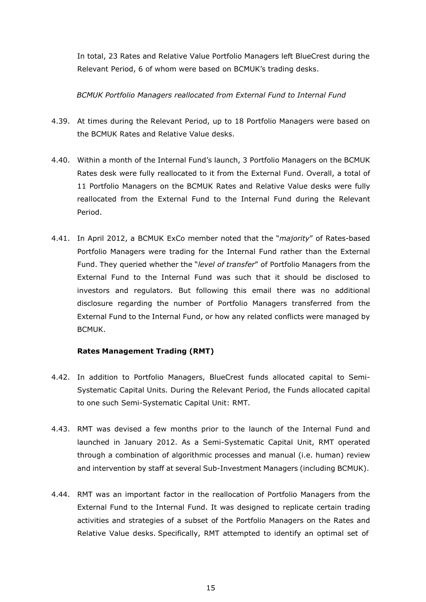In total, 23 Rates and Relative Value Portfolio Managers left BlueCrest during the Relevant Period, 6 of whom were based on BCMUK's trading desks.

# *BCMUK Portfolio Managers reallocated from External Fund to Internal Fund*

- 4.39. At times during the Relevant Period, up to 18 Portfolio Managers were based on the BCMUK Rates and Relative Value desks.
- 4.40. Within a month of the Internal Fund's launch, 3 Portfolio Managers on the BCMUK Rates desk were fully reallocated to it from the External Fund. Overall, a total of 11 Portfolio Managers on the BCMUK Rates and Relative Value desks were fully reallocated from the External Fund to the Internal Fund during the Relevant Period.
- 4.41. In April 2012, a BCMUK ExCo member noted that the "*majority*" of Rates-based Portfolio Managers were trading for the Internal Fund rather than the External Fund. They queried whether the "*level of transfer*" of Portfolio Managers from the External Fund to the Internal Fund was such that it should be disclosed to investors and regulators. But following this email there was no additional disclosure regarding the number of Portfolio Managers transferred from the External Fund to the Internal Fund, or how any related conflicts were managed by BCMUK.

# **Rates Management Trading (RMT)**

- 4.42. In addition to Portfolio Managers, BlueCrest funds allocated capital to Semi-Systematic Capital Units. During the Relevant Period, the Funds allocated capital to one such Semi-Systematic Capital Unit: RMT.
- 4.43. RMT was devised a few months prior to the launch of the Internal Fund and launched in January 2012. As a Semi-Systematic Capital Unit, RMT operated through a combination of algorithmic processes and manual (i.e. human) review and intervention by staff at several Sub-Investment Managers (including BCMUK).
- 4.44. RMT was an important factor in the reallocation of Portfolio Managers from the External Fund to the Internal Fund. It was designed to replicate certain trading activities and strategies of a subset of the Portfolio Managers on the Rates and Relative Value desks. Specifically, RMT attempted to identify an optimal set of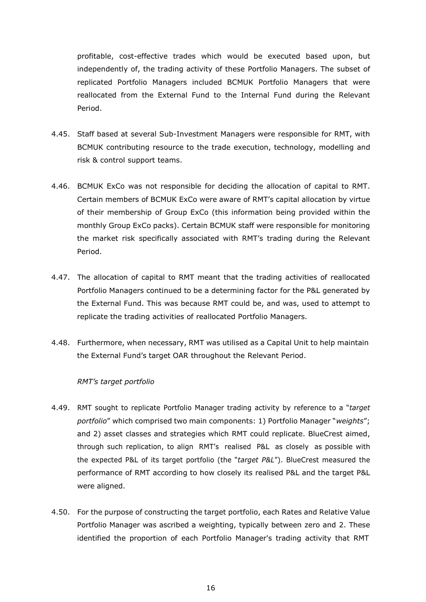profitable, cost-effective trades which would be executed based upon, but independently of, the trading activity of these Portfolio Managers. The subset of replicated Portfolio Managers included BCMUK Portfolio Managers that were reallocated from the External Fund to the Internal Fund during the Relevant Period.

- 4.45. Staff based at several Sub-Investment Managers were responsible for RMT, with BCMUK contributing resource to the trade execution, technology, modelling and risk & control support teams.
- 4.46. BCMUK ExCo was not responsible for deciding the allocation of capital to RMT. Certain members of BCMUK ExCo were aware of RMT's capital allocation by virtue of their membership of Group ExCo (this information being provided within the monthly Group ExCo packs). Certain BCMUK staff were responsible for monitoring the market risk specifically associated with RMT's trading during the Relevant Period.
- 4.47. The allocation of capital to RMT meant that the trading activities of reallocated Portfolio Managers continued to be a determining factor for the P&L generated by the External Fund. This was because RMT could be, and was, used to attempt to replicate the trading activities of reallocated Portfolio Managers.
- 4.48. Furthermore, when necessary, RMT was utilised as a Capital Unit to help maintain the External Fund's target OAR throughout the Relevant Period.

#### *RMT's target portfolio*

- 4.49. RMT sought to replicate Portfolio Manager trading activity by reference to a "*target portfolio*" which comprised two main components: 1) Portfolio Manager "*weights*"; and 2) asset classes and strategies which RMT could replicate. BlueCrest aimed, through such replication, to align RMT's realised P&L as closely as possible with the expected P&L of its target portfolio (the "*target P&L*"). BlueCrest measured the performance of RMT according to how closely its realised P&L and the target P&L were aligned.
- 4.50. For the purpose of constructing the target portfolio, each Rates and Relative Value Portfolio Manager was ascribed a weighting, typically between zero and 2. These identified the proportion of each Portfolio Manager's trading activity that RMT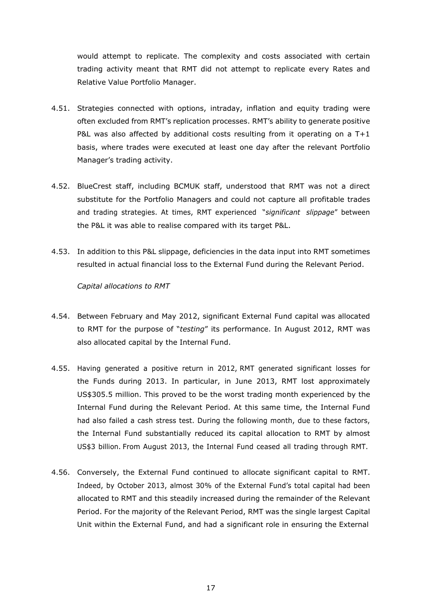would attempt to replicate. The complexity and costs associated with certain trading activity meant that RMT did not attempt to replicate every Rates and Relative Value Portfolio Manager.

- 4.51. Strategies connected with options, intraday, inflation and equity trading were often excluded from RMT's replication processes. RMT's ability to generate positive P&L was also affected by additional costs resulting from it operating on a T+1 basis, where trades were executed at least one day after the relevant Portfolio Manager's trading activity.
- 4.52. BlueCrest staff, including BCMUK staff, understood that RMT was not a direct substitute for the Portfolio Managers and could not capture all profitable trades and trading strategies. At times, RMT experienced "*significant slippage*" between the P&L it was able to realise compared with its target P&L.
- 4.53. In addition to this P&L slippage, deficiencies in the data input into RMT sometimes resulted in actual financial loss to the External Fund during the Relevant Period.

*Capital allocations to RMT*

- 4.54. Between February and May 2012, significant External Fund capital was allocated to RMT for the purpose of "*testing*" its performance. In August 2012, RMT was also allocated capital by the Internal Fund.
- 4.55. Having generated a positive return in 2012, RMT generated significant losses for the Funds during 2013. In particular, in June 2013, RMT lost approximately US\$305.5 million. This proved to be the worst trading month experienced by the Internal Fund during the Relevant Period. At this same time, the Internal Fund had also failed a cash stress test. During the following month, due to these factors, the Internal Fund substantially reduced its capital allocation to RMT by almost US\$3 billion. From August 2013, the Internal Fund ceased all trading through RMT.
- 4.56. Conversely, the External Fund continued to allocate significant capital to RMT. Indeed, by October 2013, almost 30% of the External Fund's total capital had been allocated to RMT and this steadily increased during the remainder of the Relevant Period. For the majority of the Relevant Period, RMT was the single largest Capital Unit within the External Fund, and had a significant role in ensuring the External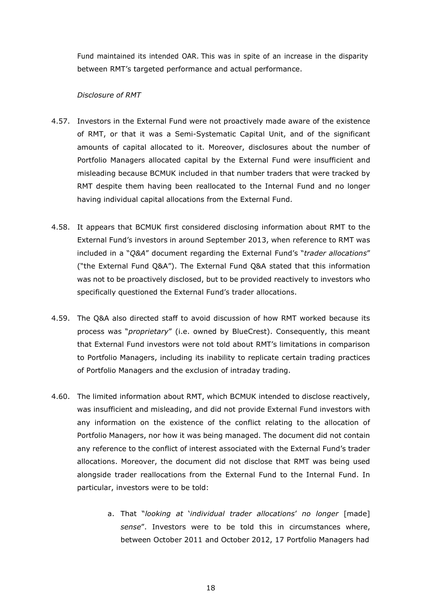Fund maintained its intended OAR. This was in spite of an increase in the disparity between RMT's targeted performance and actual performance.

### *Disclosure of RMT*

- 4.57. Investors in the External Fund were not proactively made aware of the existence of RMT, or that it was a Semi-Systematic Capital Unit, and of the significant amounts of capital allocated to it. Moreover, disclosures about the number of Portfolio Managers allocated capital by the External Fund were insufficient and misleading because BCMUK included in that number traders that were tracked by RMT despite them having been reallocated to the Internal Fund and no longer having individual capital allocations from the External Fund.
- 4.58. It appears that BCMUK first considered disclosing information about RMT to the External Fund's investors in around September 2013, when reference to RMT was included in a "*Q&A*" document regarding the External Fund's "*trader allocations*" ("the External Fund Q&A"). The External Fund Q&A stated that this information was not to be proactively disclosed, but to be provided reactively to investors who specifically questioned the External Fund's trader allocations.
- 4.59. The Q&A also directed staff to avoid discussion of how RMT worked because its process was "*proprietary*" (i.e. owned by BlueCrest). Consequently, this meant that External Fund investors were not told about RMT's limitations in comparison to Portfolio Managers, including its inability to replicate certain trading practices of Portfolio Managers and the exclusion of intraday trading.
- 4.60. The limited information about RMT, which BCMUK intended to disclose reactively, was insufficient and misleading, and did not provide External Fund investors with any information on the existence of the conflict relating to the allocation of Portfolio Managers, nor how it was being managed. The document did not contain any reference to the conflict of interest associated with the External Fund's trader allocations. Moreover, the document did not disclose that RMT was being used alongside trader reallocations from the External Fund to the Internal Fund. In particular, investors were to be told:
	- a. That "*looking at* '*individual trader allocations*' *no longer* [made] *sense*". Investors were to be told this in circumstances where, between October 2011 and October 2012, 17 Portfolio Managers had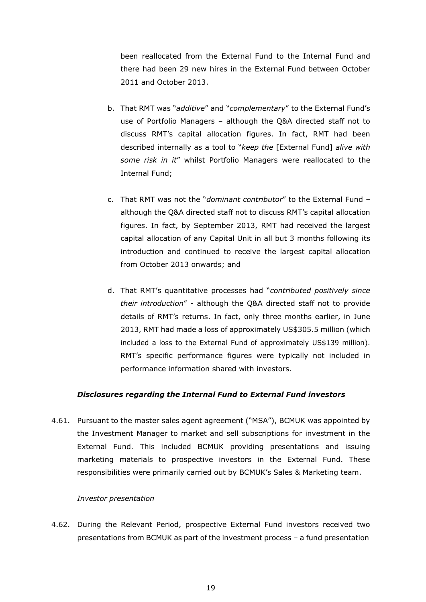been reallocated from the External Fund to the Internal Fund and there had been 29 new hires in the External Fund between October 2011 and October 2013.

- b. That RMT was "*additive*" and "*complementary*" to the External Fund's use of Portfolio Managers – although the Q&A directed staff not to discuss RMT's capital allocation figures. In fact, RMT had been described internally as a tool to "*keep the* [External Fund] *alive with some risk in it*" whilst Portfolio Managers were reallocated to the Internal Fund;
- c. That RMT was not the "*dominant contributor*" to the External Fund although the Q&A directed staff not to discuss RMT's capital allocation figures. In fact, by September 2013, RMT had received the largest capital allocation of any Capital Unit in all but 3 months following its introduction and continued to receive the largest capital allocation from October 2013 onwards; and
- d. That RMT's quantitative processes had "*contributed positively since their introduction*" - although the Q&A directed staff not to provide details of RMT's returns. In fact, only three months earlier, in June 2013, RMT had made a loss of approximately US\$305.5 million (which included a loss to the External Fund of approximately US\$139 million). RMT's specific performance figures were typically not included in performance information shared with investors.

#### *Disclosures regarding the Internal Fund to External Fund investors*

4.61. Pursuant to the master sales agent agreement ("MSA"), BCMUK was appointed by the Investment Manager to market and sell subscriptions for investment in the External Fund. This included BCMUK providing presentations and issuing marketing materials to prospective investors in the External Fund. These responsibilities were primarily carried out by BCMUK's Sales & Marketing team.

#### *Investor presentation*

4.62. During the Relevant Period, prospective External Fund investors received two presentations from BCMUK as part of the investment process – a fund presentation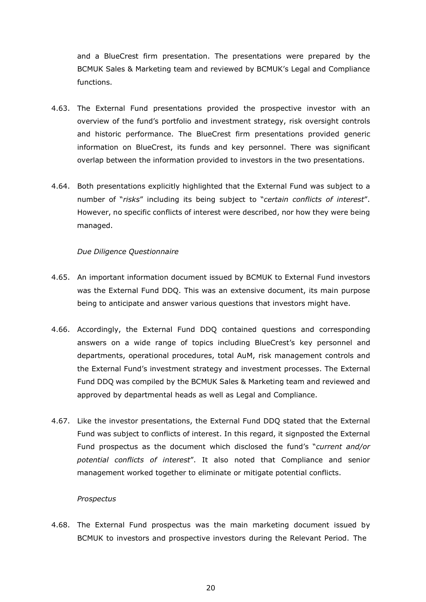and a BlueCrest firm presentation. The presentations were prepared by the BCMUK Sales & Marketing team and reviewed by BCMUK's Legal and Compliance functions.

- 4.63. The External Fund presentations provided the prospective investor with an overview of the fund's portfolio and investment strategy, risk oversight controls and historic performance. The BlueCrest firm presentations provided generic information on BlueCrest, its funds and key personnel. There was significant overlap between the information provided to investors in the two presentations.
- 4.64. Both presentations explicitly highlighted that the External Fund was subject to a number of "*risks*" including its being subject to "*certain conflicts of interest*". However, no specific conflicts of interest were described, nor how they were being managed.

## *Due Diligence Questionnaire*

- 4.65. An important information document issued by BCMUK to External Fund investors was the External Fund DDQ. This was an extensive document, its main purpose being to anticipate and answer various questions that investors might have.
- 4.66. Accordingly, the External Fund DDQ contained questions and corresponding answers on a wide range of topics including BlueCrest's key personnel and departments, operational procedures, total AuM, risk management controls and the External Fund's investment strategy and investment processes. The External Fund DDQ was compiled by the BCMUK Sales & Marketing team and reviewed and approved by departmental heads as well as Legal and Compliance.
- 4.67. Like the investor presentations, the External Fund DDQ stated that the External Fund was subject to conflicts of interest. In this regard, it signposted the External Fund prospectus as the document which disclosed the fund's "*current and/or potential conflicts of interest*". It also noted that Compliance and senior management worked together to eliminate or mitigate potential conflicts.

#### *Prospectus*

4.68. The External Fund prospectus was the main marketing document issued by BCMUK to investors and prospective investors during the Relevant Period. The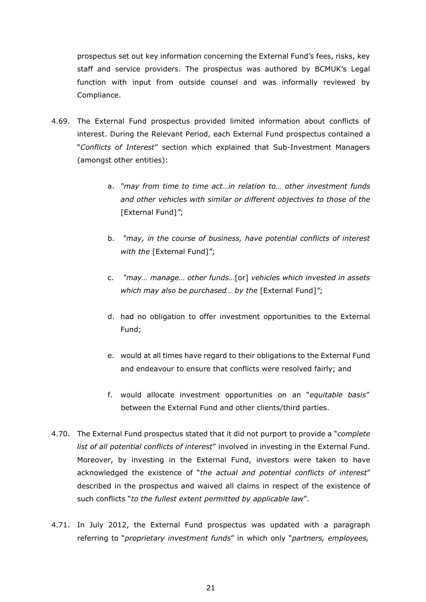prospectus set out key information concerning the External Fund's fees, risks, key staff and service providers. The prospectus was authored by BCMUK's Legal function with input from outside counsel and was informally reviewed by Compliance.

- 4.69. The External Fund prospectus provided limited information about conflicts of interest. During the Relevant Period, each External Fund prospectus contained a "*Conflicts of Interest*" section which explained that Sub-Investment Managers (amongst other entities):
	- a. *"may from time to time act…in relation to… other investment funds and other vehicles with similar or different objectives to those of the* [External Fund]*"*;
	- b. *"may, in the course of business, have potential conflicts of interest with the* [External Fund]*"*;
	- c. *"may… manage… other funds…*[or] *vehicles which invested in assets which may also be purchased… by the* [External Fund]*"*;
	- d. had no obligation to offer investment opportunities to the External Fund;
	- e. would at all times have regard to their obligations to the External Fund and endeavour to ensure that conflicts were resolved fairly; and
	- f. would allocate investment opportunities on an "*equitable basis*" between the External Fund and other clients/third parties.
- 4.70. The External Fund prospectus stated that it did not purport to provide a "*complete list of all potential conflicts of interest*" involved in investing in the External Fund. Moreover, by investing in the External Fund, investors were taken to have acknowledged the existence of "*the actual and potential conflicts of interest*" described in the prospectus and waived all claims in respect of the existence of such conflicts "*to the fullest extent permitted by applicable law*".
- 4.71. In July 2012, the External Fund prospectus was updated with a paragraph referring to "*proprietary investment funds*" in which only "*partners, employees,*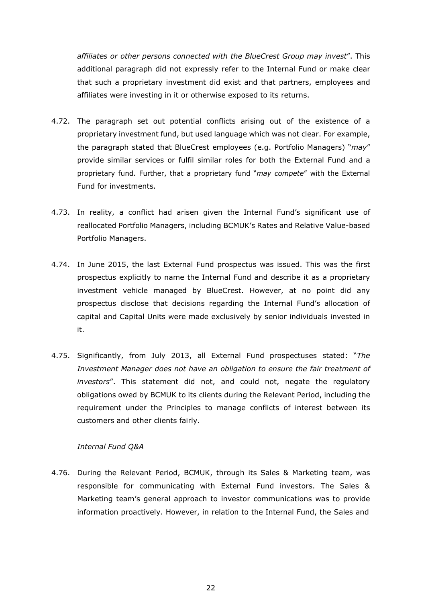*affiliates or other persons connected with the BlueCrest Group may invest*". This additional paragraph did not expressly refer to the Internal Fund or make clear that such a proprietary investment did exist and that partners, employees and affiliates were investing in it or otherwise exposed to its returns.

- 4.72. The paragraph set out potential conflicts arising out of the existence of a proprietary investment fund, but used language which was not clear. For example, the paragraph stated that BlueCrest employees (e.g. Portfolio Managers) "*may*" provide similar services or fulfil similar roles for both the External Fund and a proprietary fund. Further, that a proprietary fund "*may compete*" with the External Fund for investments.
- 4.73. In reality, a conflict had arisen given the Internal Fund's significant use of reallocated Portfolio Managers, including BCMUK's Rates and Relative Value-based Portfolio Managers.
- 4.74. In June 2015, the last External Fund prospectus was issued. This was the first prospectus explicitly to name the Internal Fund and describe it as a proprietary investment vehicle managed by BlueCrest. However, at no point did any prospectus disclose that decisions regarding the Internal Fund's allocation of capital and Capital Units were made exclusively by senior individuals invested in it.
- 4.75. Significantly, from July 2013, all External Fund prospectuses stated: "*The Investment Manager does not have an obligation to ensure the fair treatment of investors*". This statement did not, and could not, negate the regulatory obligations owed by BCMUK to its clients during the Relevant Period, including the requirement under the Principles to manage conflicts of interest between its customers and other clients fairly.

#### *Internal Fund Q&A*

4.76. During the Relevant Period, BCMUK, through its Sales & Marketing team, was responsible for communicating with External Fund investors. The Sales & Marketing team's general approach to investor communications was to provide information proactively. However, in relation to the Internal Fund, the Sales and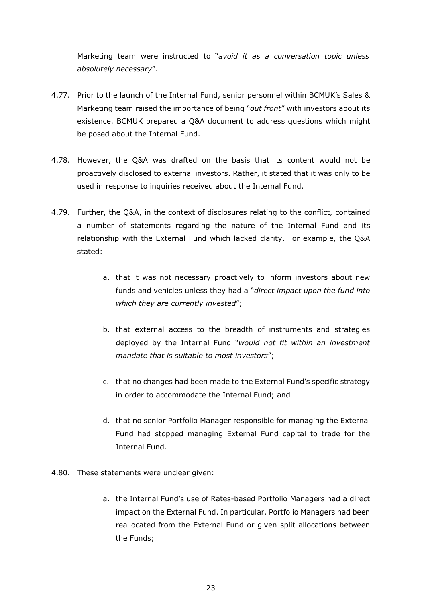Marketing team were instructed to "*avoid it as a conversation topic unless absolutely necessary*".

- 4.77. Prior to the launch of the Internal Fund, senior personnel within BCMUK's Sales & Marketing team raised the importance of being "*out front*" with investors about its existence. BCMUK prepared a Q&A document to address questions which might be posed about the Internal Fund.
- 4.78. However, the Q&A was drafted on the basis that its content would not be proactively disclosed to external investors. Rather, it stated that it was only to be used in response to inquiries received about the Internal Fund.
- 4.79. Further, the Q&A, in the context of disclosures relating to the conflict, contained a number of statements regarding the nature of the Internal Fund and its relationship with the External Fund which lacked clarity. For example, the Q&A stated:
	- a. that it was not necessary proactively to inform investors about new funds and vehicles unless they had a "*direct impact upon the fund into which they are currently invested*";
	- b. that external access to the breadth of instruments and strategies deployed by the Internal Fund "*would not fit within an investment mandate that is suitable to most investors*";
	- c. that no changes had been made to the External Fund's specific strategy in order to accommodate the Internal Fund; and
	- d. that no senior Portfolio Manager responsible for managing the External Fund had stopped managing External Fund capital to trade for the Internal Fund.
- 4.80. These statements were unclear given:
	- a. the Internal Fund's use of Rates-based Portfolio Managers had a direct impact on the External Fund. In particular, Portfolio Managers had been reallocated from the External Fund or given split allocations between the Funds;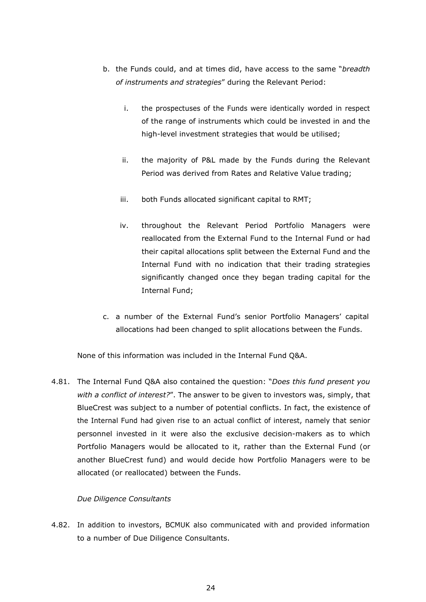- b. the Funds could, and at times did, have access to the same "*breadth of instruments and strategies*" during the Relevant Period:
	- i. the prospectuses of the Funds were identically worded in respect of the range of instruments which could be invested in and the high-level investment strategies that would be utilised;
	- ii. the majority of P&L made by the Funds during the Relevant Period was derived from Rates and Relative Value trading;
	- iii. both Funds allocated significant capital to RMT;
	- iv. throughout the Relevant Period Portfolio Managers were reallocated from the External Fund to the Internal Fund or had their capital allocations split between the External Fund and the Internal Fund with no indication that their trading strategies significantly changed once they began trading capital for the Internal Fund;
- c. a number of the External Fund's senior Portfolio Managers' capital allocations had been changed to split allocations between the Funds.

None of this information was included in the Internal Fund Q&A.

4.81. The Internal Fund Q&A also contained the question: "*Does this fund present you with a conflict of interest?*". The answer to be given to investors was, simply, that BlueCrest was subject to a number of potential conflicts. In fact, the existence of the Internal Fund had given rise to an actual conflict of interest, namely that senior personnel invested in it were also the exclusive decision-makers as to which Portfolio Managers would be allocated to it, rather than the External Fund (or another BlueCrest fund) and would decide how Portfolio Managers were to be allocated (or reallocated) between the Funds.

# *Due Diligence Consultants*

4.82. In addition to investors, BCMUK also communicated with and provided information to a number of Due Diligence Consultants.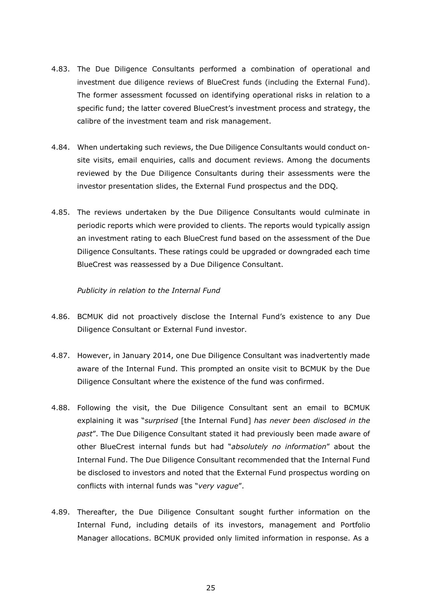- 4.83. The Due Diligence Consultants performed a combination of operational and investment due diligence reviews of BlueCrest funds (including the External Fund). The former assessment focussed on identifying operational risks in relation to a specific fund; the latter covered BlueCrest's investment process and strategy, the calibre of the investment team and risk management.
- 4.84. When undertaking such reviews, the Due Diligence Consultants would conduct onsite visits, email enquiries, calls and document reviews. Among the documents reviewed by the Due Diligence Consultants during their assessments were the investor presentation slides, the External Fund prospectus and the DDQ.
- 4.85. The reviews undertaken by the Due Diligence Consultants would culminate in periodic reports which were provided to clients. The reports would typically assign an investment rating to each BlueCrest fund based on the assessment of the Due Diligence Consultants. These ratings could be upgraded or downgraded each time BlueCrest was reassessed by a Due Diligence Consultant.

#### *Publicity in relation to the Internal Fund*

- 4.86. BCMUK did not proactively disclose the Internal Fund's existence to any Due Diligence Consultant or External Fund investor.
- 4.87. However, in January 2014, one Due Diligence Consultant was inadvertently made aware of the Internal Fund. This prompted an onsite visit to BCMUK by the Due Diligence Consultant where the existence of the fund was confirmed.
- 4.88. Following the visit, the Due Diligence Consultant sent an email to BCMUK explaining it was "*surprised* [the Internal Fund] *has never been disclosed in the past*". The Due Diligence Consultant stated it had previously been made aware of other BlueCrest internal funds but had "*absolutely no information*" about the Internal Fund. The Due Diligence Consultant recommended that the Internal Fund be disclosed to investors and noted that the External Fund prospectus wording on conflicts with internal funds was "*very vague*".
- 4.89. Thereafter, the Due Diligence Consultant sought further information on the Internal Fund, including details of its investors, management and Portfolio Manager allocations. BCMUK provided only limited information in response. As a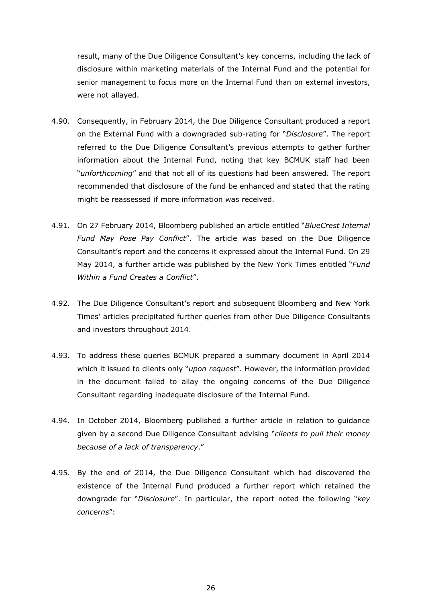result, many of the Due Diligence Consultant's key concerns, including the lack of disclosure within marketing materials of the Internal Fund and the potential for senior management to focus more on the Internal Fund than on external investors, were not allayed.

- 4.90. Consequently, in February 2014, the Due Diligence Consultant produced a report on the External Fund with a downgraded sub-rating for "*Disclosure*". The report referred to the Due Diligence Consultant's previous attempts to gather further information about the Internal Fund, noting that key BCMUK staff had been "*unforthcoming*" and that not all of its questions had been answered. The report recommended that disclosure of the fund be enhanced and stated that the rating might be reassessed if more information was received.
- 4.91. On 27 February 2014, Bloomberg published an article entitled "*BlueCrest Internal Fund May Pose Pay Conflict*". The article was based on the Due Diligence Consultant's report and the concerns it expressed about the Internal Fund. On 29 May 2014, a further article was published by the New York Times entitled "*Fund Within a Fund Creates a Conflict*".
- 4.92. The Due Diligence Consultant's report and subsequent Bloomberg and New York Times' articles precipitated further queries from other Due Diligence Consultants and investors throughout 2014.
- 4.93. To address these queries BCMUK prepared a summary document in April 2014 which it issued to clients only "*upon request*". However, the information provided in the document failed to allay the ongoing concerns of the Due Diligence Consultant regarding inadequate disclosure of the Internal Fund.
- 4.94. In October 2014, Bloomberg published a further article in relation to guidance given by a second Due Diligence Consultant advising "*clients to pull their money because of a lack of transparency*."
- 4.95. By the end of 2014, the Due Diligence Consultant which had discovered the existence of the Internal Fund produced a further report which retained the downgrade for "*Disclosure*". In particular, the report noted the following "*key concerns*":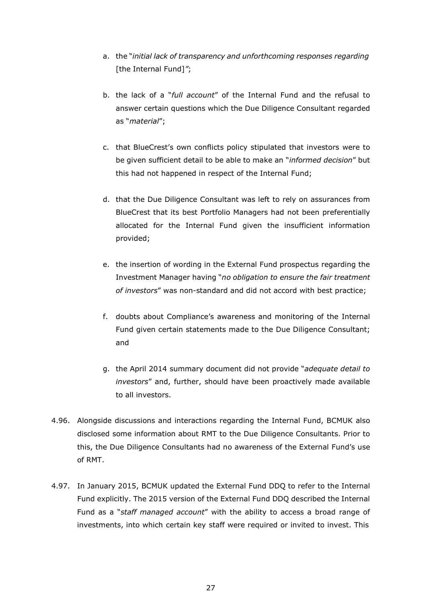- a. the "*initial lack of transparency and unforthcoming responses regarding* [the Internal Fund]*"*;
- b. the lack of a "*full account*" of the Internal Fund and the refusal to answer certain questions which the Due Diligence Consultant regarded as "*material*";
- c. that BlueCrest's own conflicts policy stipulated that investors were to be given sufficient detail to be able to make an "*informed decision*" but this had not happened in respect of the Internal Fund;
- d. that the Due Diligence Consultant was left to rely on assurances from BlueCrest that its best Portfolio Managers had not been preferentially allocated for the Internal Fund given the insufficient information provided;
- e. the insertion of wording in the External Fund prospectus regarding the Investment Manager having "*no obligation to ensure the fair treatment of investors*" was non-standard and did not accord with best practice;
- f. doubts about Compliance's awareness and monitoring of the Internal Fund given certain statements made to the Due Diligence Consultant; and
- g. the April 2014 summary document did not provide "*adequate detail to investors*" and, further, should have been proactively made available to all investors.
- 4.96. Alongside discussions and interactions regarding the Internal Fund, BCMUK also disclosed some information about RMT to the Due Diligence Consultants. Prior to this, the Due Diligence Consultants had no awareness of the External Fund's use of RMT.
- 4.97. In January 2015, BCMUK updated the External Fund DDQ to refer to the Internal Fund explicitly. The 2015 version of the External Fund DDQ described the Internal Fund as a "*staff managed account*" with the ability to access a broad range of investments, into which certain key staff were required or invited to invest. This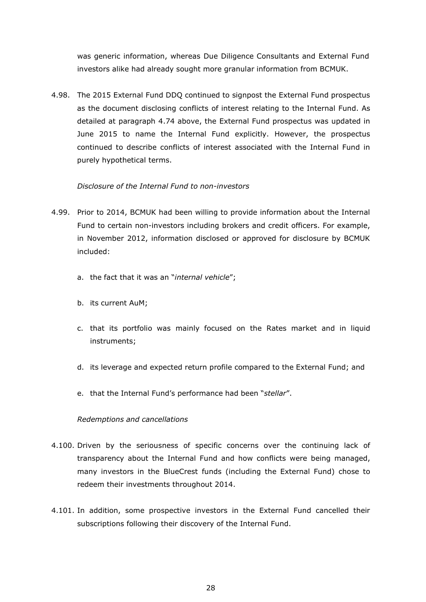was generic information, whereas Due Diligence Consultants and External Fund investors alike had already sought more granular information from BCMUK.

4.98. The 2015 External Fund DDQ continued to signpost the External Fund prospectus as the document disclosing conflicts of interest relating to the Internal Fund. As detailed at paragraph 4.74 above, the External Fund prospectus was updated in June 2015 to name the Internal Fund explicitly. However, the prospectus continued to describe conflicts of interest associated with the Internal Fund in purely hypothetical terms.

# *Disclosure of the Internal Fund to non-investors*

- 4.99. Prior to 2014, BCMUK had been willing to provide information about the Internal Fund to certain non-investors including brokers and credit officers. For example, in November 2012, information disclosed or approved for disclosure by BCMUK included:
	- a. the fact that it was an "*internal vehicle*";
	- b. its current AuM;
	- c. that its portfolio was mainly focused on the Rates market and in liquid instruments;
	- d. its leverage and expected return profile compared to the External Fund; and
	- e. that the Internal Fund's performance had been "*stellar*".

#### *Redemptions and cancellations*

- 4.100. Driven by the seriousness of specific concerns over the continuing lack of transparency about the Internal Fund and how conflicts were being managed, many investors in the BlueCrest funds (including the External Fund) chose to redeem their investments throughout 2014.
- 4.101. In addition, some prospective investors in the External Fund cancelled their subscriptions following their discovery of the Internal Fund.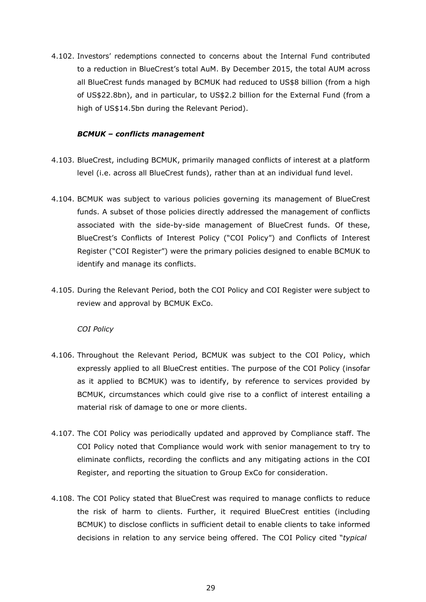4.102. Investors' redemptions connected to concerns about the Internal Fund contributed to a reduction in BlueCrest's total AuM. By December 2015, the total AUM across all BlueCrest funds managed by BCMUK had reduced to US\$8 billion (from a high of US\$22.8bn), and in particular, to US\$2.2 billion for the External Fund (from a high of US\$14.5bn during the Relevant Period).

### *BCMUK – conflicts management*

- 4.103. BlueCrest, including BCMUK, primarily managed conflicts of interest at a platform level (i.e. across all BlueCrest funds), rather than at an individual fund level.
- 4.104. BCMUK was subject to various policies governing its management of BlueCrest funds. A subset of those policies directly addressed the management of conflicts associated with the side-by-side management of BlueCrest funds. Of these, BlueCrest's Conflicts of Interest Policy ("COI Policy") and Conflicts of Interest Register ("COI Register") were the primary policies designed to enable BCMUK to identify and manage its conflicts.
- 4.105. During the Relevant Period, both the COI Policy and COI Register were subject to review and approval by BCMUK ExCo.

#### *COI Policy*

- 4.106. Throughout the Relevant Period, BCMUK was subject to the COI Policy, which expressly applied to all BlueCrest entities. The purpose of the COI Policy (insofar as it applied to BCMUK) was to identify, by reference to services provided by BCMUK, circumstances which could give rise to a conflict of interest entailing a material risk of damage to one or more clients.
- 4.107. The COI Policy was periodically updated and approved by Compliance staff. The COI Policy noted that Compliance would work with senior management to try to eliminate conflicts, recording the conflicts and any mitigating actions in the COI Register, and reporting the situation to Group ExCo for consideration.
- 4.108. The COI Policy stated that BlueCrest was required to manage conflicts to reduce the risk of harm to clients. Further, it required BlueCrest entities (including BCMUK) to disclose conflicts in sufficient detail to enable clients to take informed decisions in relation to any service being offered. The COI Policy cited "*typical*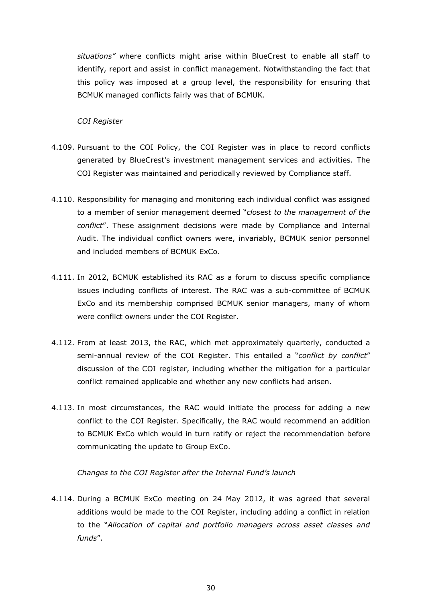*situations"* where conflicts might arise within BlueCrest to enable all staff to identify, report and assist in conflict management. Notwithstanding the fact that this policy was imposed at a group level, the responsibility for ensuring that BCMUK managed conflicts fairly was that of BCMUK.

#### *COI Register*

- 4.109. Pursuant to the COI Policy, the COI Register was in place to record conflicts generated by BlueCrest's investment management services and activities. The COI Register was maintained and periodically reviewed by Compliance staff.
- 4.110. Responsibility for managing and monitoring each individual conflict was assigned to a member of senior management deemed "*closest to the management of the conflict*". These assignment decisions were made by Compliance and Internal Audit. The individual conflict owners were, invariably, BCMUK senior personnel and included members of BCMUK ExCo.
- 4.111. In 2012, BCMUK established its RAC as a forum to discuss specific compliance issues including conflicts of interest. The RAC was a sub-committee of BCMUK ExCo and its membership comprised BCMUK senior managers, many of whom were conflict owners under the COI Register.
- 4.112. From at least 2013, the RAC, which met approximately quarterly, conducted a semi-annual review of the COI Register. This entailed a "*conflict by conflict*" discussion of the COI register, including whether the mitigation for a particular conflict remained applicable and whether any new conflicts had arisen.
- 4.113. In most circumstances, the RAC would initiate the process for adding a new conflict to the COI Register. Specifically, the RAC would recommend an addition to BCMUK ExCo which would in turn ratify or reject the recommendation before communicating the update to Group ExCo.

#### *Changes to the COI Register after the Internal Fund's launch*

4.114. During a BCMUK ExCo meeting on 24 May 2012, it was agreed that several additions would be made to the COI Register, including adding a conflict in relation to the "*Allocation of capital and portfolio managers across asset classes and funds*".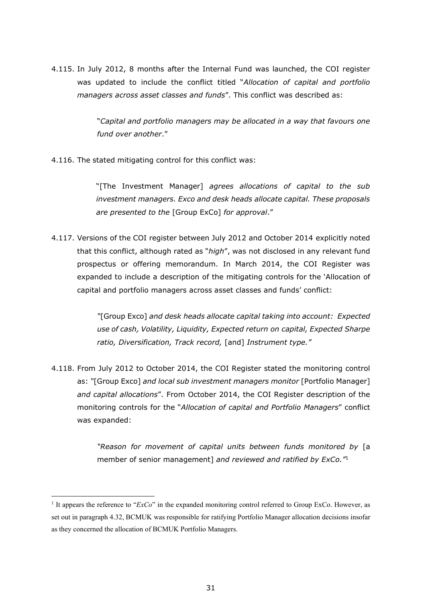4.115. In July 2012, 8 months after the Internal Fund was launched, the COI register was updated to include the conflict titled "*Allocation of capital and portfolio managers across asset classes and funds*". This conflict was described as:

> "*Capital and portfolio managers may be allocated in a way that favours one fund over another*."

4.116. The stated mitigating control for this conflict was:

"[The Investment Manager] *agrees allocations of capital to the sub investment managers. Exco and desk heads allocate capital. These proposals are presented to the* [Group ExCo] *for approval*."

4.117. Versions of the COI register between July 2012 and October 2014 explicitly noted that this conflict, although rated as "*high*", was not disclosed in any relevant fund prospectus or offering memorandum. In March 2014, the COI Register was expanded to include a description of the mitigating controls for the 'Allocation of capital and portfolio managers across asset classes and funds' conflict:

> *"*[Group Exco] *and desk heads allocate capital taking into account: Expected use of cash, Volatility, Liquidity, Expected return on capital, Expected Sharpe ratio, Diversification, Track record,* [and] *Instrument type."*

4.118. From July 2012 to October 2014, the COI Register stated the monitoring control as: *"*[Group Exco] *and local sub investment managers monitor* [Portfolio Manager] *and capital allocations*". From October 2014, the COI Register description of the monitoring controls for the "*Allocation of capital and Portfolio Managers*" conflict was expanded:

> *"Reason for movement of capital units between funds monitored by* [a member of senior management] *and reviewed and ratified by ExCo."*<sup>1</sup>

<sup>1</sup> It appears the reference to "*ExCo*" in the expanded monitoring control referred to Group ExCo. However, as set out in paragraph 4.32, BCMUK was responsible for ratifying Portfolio Manager allocation decisions insofar as they concerned the allocation of BCMUK Portfolio Managers.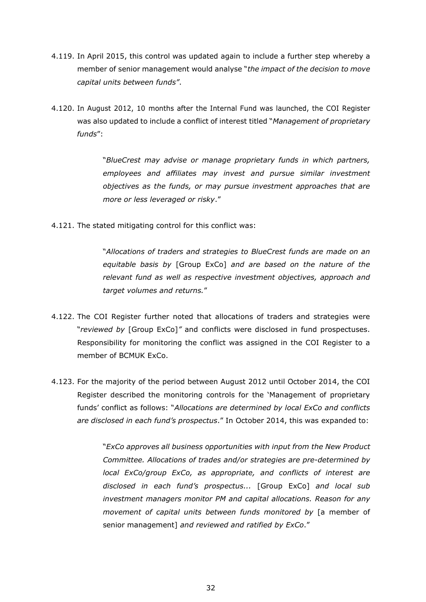- 4.119. In April 2015, this control was updated again to include a further step whereby a member of senior management would analyse "*the impact of the decision to move capital units between funds"*.
- 4.120. In August 2012, 10 months after the Internal Fund was launched, the COI Register was also updated to include a conflict of interest titled "*Management of proprietary funds*":

"*BlueCrest may advise or manage proprietary funds in which partners, employees and affiliates may invest and pursue similar investment objectives as the funds, or may pursue investment approaches that are more or less leveraged or risky*."

4.121. The stated mitigating control for this conflict was:

"*Allocations of traders and strategies to BlueCrest funds are made on an equitable basis by* [Group ExCo] *and are based on the nature of the relevant fund as well as respective investment objectives, approach and target volumes and returns.*"

- 4.122. The COI Register further noted that allocations of traders and strategies were "*reviewed by* [Group ExCo]*"* and conflicts were disclosed in fund prospectuses. Responsibility for monitoring the conflict was assigned in the COI Register to a member of BCMUK ExCo.
- 4.123. For the majority of the period between August 2012 until October 2014, the COI Register described the monitoring controls for the 'Management of proprietary funds' conflict as follows: "*Allocations are determined by local ExCo and conflicts are disclosed in each fund's prospectus*." In October 2014, this was expanded to:

"*ExCo approves all business opportunities with input from the New Product Committee. Allocations of trades and/or strategies are pre-determined by local ExCo/group ExCo, as appropriate, and conflicts of interest are disclosed in each fund's prospectus...* [Group ExCo] *and local sub investment managers monitor PM and capital allocations. Reason for any movement of capital units between funds monitored by* [a member of senior management] *and reviewed and ratified by ExCo*."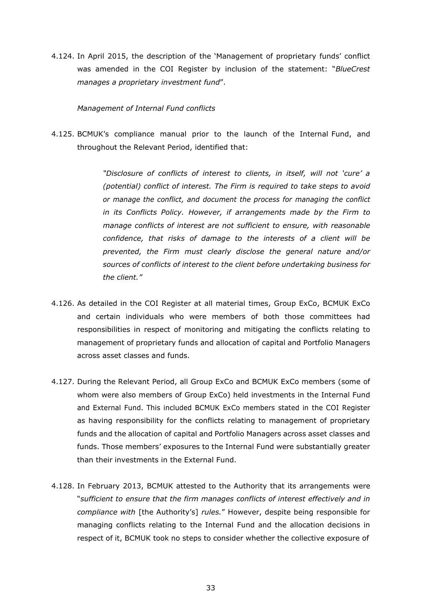4.124. In April 2015, the description of the 'Management of proprietary funds' conflict was amended in the COI Register by inclusion of the statement: "*BlueCrest manages a proprietary investment fund*".

### *Management of Internal Fund conflicts*

4.125. BCMUK's compliance manual prior to the launch of the Internal Fund, and throughout the Relevant Period, identified that:

> *"Disclosure of conflicts of interest to clients, in itself, will not 'cure' a (potential) conflict of interest. The Firm is required to take steps to avoid or manage the conflict, and document the process for managing the conflict in its Conflicts Policy. However, if arrangements made by the Firm to manage conflicts of interest are not sufficient to ensure, with reasonable confidence, that risks of damage to the interests of a client will be prevented, the Firm must clearly disclose the general nature and/or sources of conflicts of interest to the client before undertaking business for the client."*

- 4.126. As detailed in the COI Register at all material times, Group ExCo, BCMUK ExCo and certain individuals who were members of both those committees had responsibilities in respect of monitoring and mitigating the conflicts relating to management of proprietary funds and allocation of capital and Portfolio Managers across asset classes and funds.
- 4.127. During the Relevant Period, all Group ExCo and BCMUK ExCo members (some of whom were also members of Group ExCo) held investments in the Internal Fund and External Fund. This included BCMUK ExCo members stated in the COI Register as having responsibility for the conflicts relating to management of proprietary funds and the allocation of capital and Portfolio Managers across asset classes and funds. Those members' exposures to the Internal Fund were substantially greater than their investments in the External Fund.
- 4.128. In February 2013, BCMUK attested to the Authority that its arrangements were "*sufficient to ensure that the firm manages conflicts of interest effectively and in compliance with* [the Authority's] *rules.*" However, despite being responsible for managing conflicts relating to the Internal Fund and the allocation decisions in respect of it, BCMUK took no steps to consider whether the collective exposure of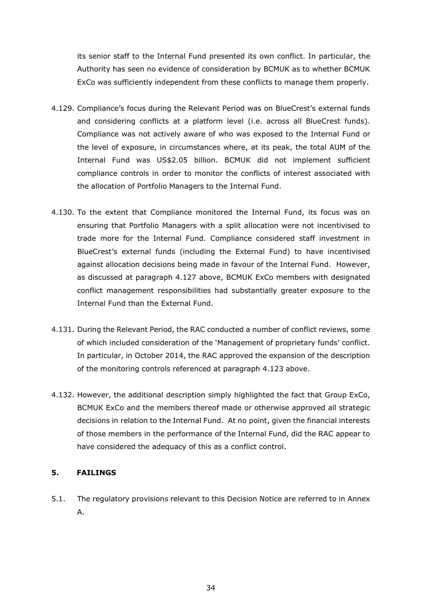its senior staff to the Internal Fund presented its own conflict. In particular, the Authority has seen no evidence of consideration by BCMUK as to whether BCMUK ExCo was sufficiently independent from these conflicts to manage them properly.

- 4.129. Compliance's focus during the Relevant Period was on BlueCrest's external funds and considering conflicts at a platform level (i.e. across all BlueCrest funds). Compliance was not actively aware of who was exposed to the Internal Fund or the level of exposure, in circumstances where, at its peak, the total AUM of the Internal Fund was US\$2.05 billion. BCMUK did not implement sufficient compliance controls in order to monitor the conflicts of interest associated with the allocation of Portfolio Managers to the Internal Fund.
- 4.130. To the extent that Compliance monitored the Internal Fund, its focus was on ensuring that Portfolio Managers with a split allocation were not incentivised to trade more for the Internal Fund. Compliance considered staff investment in BlueCrest's external funds (including the External Fund) to have incentivised against allocation decisions being made in favour of the Internal Fund. However, as discussed at paragraph 4.127 above, BCMUK ExCo members with designated conflict management responsibilities had substantially greater exposure to the Internal Fund than the External Fund.
- 4.131. During the Relevant Period, the RAC conducted a number of conflict reviews, some of which included consideration of the 'Management of proprietary funds' conflict. In particular, in October 2014, the RAC approved the expansion of the description of the monitoring controls referenced at paragraph 4.123 above.
- 4.132. However, the additional description simply highlighted the fact that Group ExCo, BCMUK ExCo and the members thereof made or otherwise approved all strategic decisions in relation to the Internal Fund. At no point, given the financial interests of those members in the performance of the Internal Fund, did the RAC appear to have considered the adequacy of this as a conflict control.

# **5. FAILINGS**

5.1. The regulatory provisions relevant to this Decision Notice are referred to in Annex A.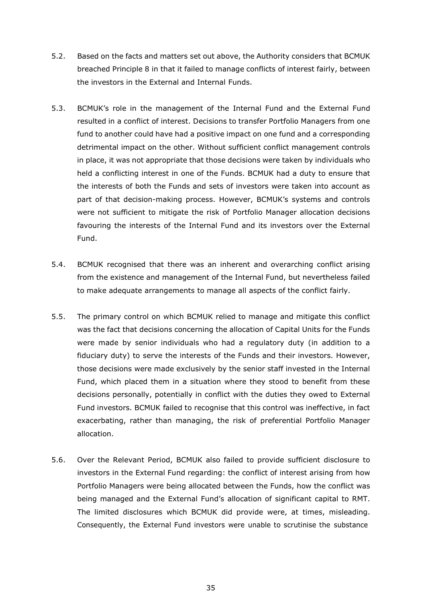- 5.2. Based on the facts and matters set out above, the Authority considers that BCMUK breached Principle 8 in that it failed to manage conflicts of interest fairly, between the investors in the External and Internal Funds.
- 5.3. BCMUK's role in the management of the Internal Fund and the External Fund resulted in a conflict of interest. Decisions to transfer Portfolio Managers from one fund to another could have had a positive impact on one fund and a corresponding detrimental impact on the other. Without sufficient conflict management controls in place, it was not appropriate that those decisions were taken by individuals who held a conflicting interest in one of the Funds. BCMUK had a duty to ensure that the interests of both the Funds and sets of investors were taken into account as part of that decision-making process. However, BCMUK's systems and controls were not sufficient to mitigate the risk of Portfolio Manager allocation decisions favouring the interests of the Internal Fund and its investors over the External Fund.
- 5.4. BCMUK recognised that there was an inherent and overarching conflict arising from the existence and management of the Internal Fund, but nevertheless failed to make adequate arrangements to manage all aspects of the conflict fairly.
- 5.5. The primary control on which BCMUK relied to manage and mitigate this conflict was the fact that decisions concerning the allocation of Capital Units for the Funds were made by senior individuals who had a regulatory duty (in addition to a fiduciary duty) to serve the interests of the Funds and their investors. However, those decisions were made exclusively by the senior staff invested in the Internal Fund, which placed them in a situation where they stood to benefit from these decisions personally, potentially in conflict with the duties they owed to External Fund investors. BCMUK failed to recognise that this control was ineffective, in fact exacerbating, rather than managing, the risk of preferential Portfolio Manager allocation.
- 5.6. Over the Relevant Period, BCMUK also failed to provide sufficient disclosure to investors in the External Fund regarding: the conflict of interest arising from how Portfolio Managers were being allocated between the Funds, how the conflict was being managed and the External Fund's allocation of significant capital to RMT. The limited disclosures which BCMUK did provide were, at times, misleading. Consequently, the External Fund investors were unable to scrutinise the substance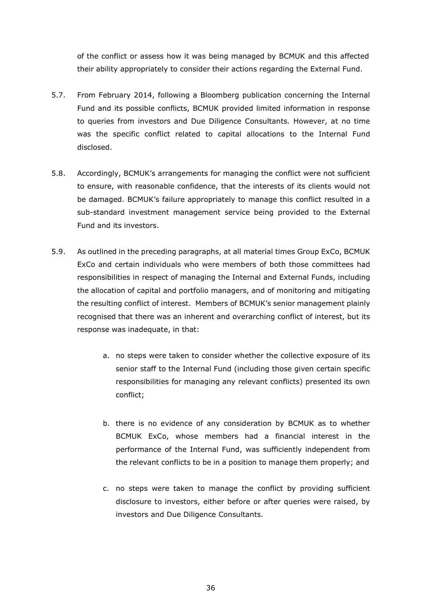of the conflict or assess how it was being managed by BCMUK and this affected their ability appropriately to consider their actions regarding the External Fund.

- 5.7. From February 2014, following a Bloomberg publication concerning the Internal Fund and its possible conflicts, BCMUK provided limited information in response to queries from investors and Due Diligence Consultants. However, at no time was the specific conflict related to capital allocations to the Internal Fund disclosed.
- 5.8. Accordingly, BCMUK's arrangements for managing the conflict were not sufficient to ensure, with reasonable confidence, that the interests of its clients would not be damaged. BCMUK's failure appropriately to manage this conflict resulted in a sub-standard investment management service being provided to the External Fund and its investors.
- 5.9. As outlined in the preceding paragraphs, at all material times Group ExCo, BCMUK ExCo and certain individuals who were members of both those committees had responsibilities in respect of managing the Internal and External Funds, including the allocation of capital and portfolio managers, and of monitoring and mitigating the resulting conflict of interest. Members of BCMUK's senior management plainly recognised that there was an inherent and overarching conflict of interest, but its response was inadequate, in that:
	- a. no steps were taken to consider whether the collective exposure of its senior staff to the Internal Fund (including those given certain specific responsibilities for managing any relevant conflicts) presented its own conflict;
	- b. there is no evidence of any consideration by BCMUK as to whether BCMUK ExCo, whose members had a financial interest in the performance of the Internal Fund, was sufficiently independent from the relevant conflicts to be in a position to manage them properly; and
	- c. no steps were taken to manage the conflict by providing sufficient disclosure to investors, either before or after queries were raised, by investors and Due Diligence Consultants.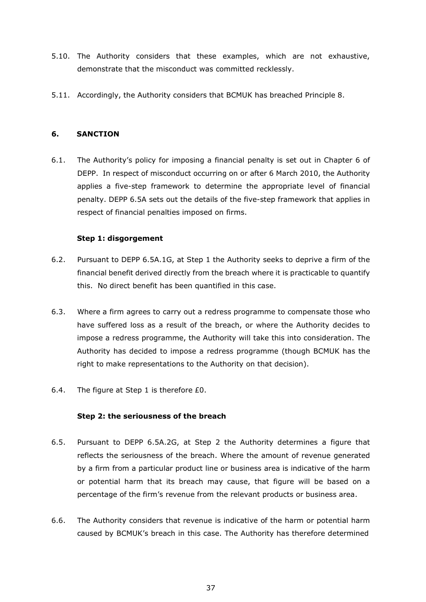- 5.10. The Authority considers that these examples, which are not exhaustive, demonstrate that the misconduct was committed recklessly.
- 5.11. Accordingly, the Authority considers that BCMUK has breached Principle 8.

## **6. SANCTION**

6.1. The Authority's policy for imposing a financial penalty is set out in Chapter 6 of DEPP. In respect of misconduct occurring on or after 6 March 2010, the Authority applies a five-step framework to determine the appropriate level of financial penalty. DEPP 6.5A sets out the details of the five-step framework that applies in respect of financial penalties imposed on firms.

## **Step 1: disgorgement**

- 6.2. Pursuant to DEPP 6.5A.1G, at Step 1 the Authority seeks to deprive a firm of the financial benefit derived directly from the breach where it is practicable to quantify this. No direct benefit has been quantified in this case.
- 6.3. Where a firm agrees to carry out a redress programme to compensate those who have suffered loss as a result of the breach, or where the Authority decides to impose a redress programme, the Authority will take this into consideration. The Authority has decided to impose a redress programme (though BCMUK has the right to make representations to the Authority on that decision).
- 6.4. The figure at Step 1 is therefore £0.

#### **Step 2: the seriousness of the breach**

- 6.5. Pursuant to DEPP 6.5A.2G, at Step 2 the Authority determines a figure that reflects the seriousness of the breach. Where the amount of revenue generated by a firm from a particular product line or business area is indicative of the harm or potential harm that its breach may cause, that figure will be based on a percentage of the firm's revenue from the relevant products or business area.
- 6.6. The Authority considers that revenue is indicative of the harm or potential harm caused by BCMUK's breach in this case. The Authority has therefore determined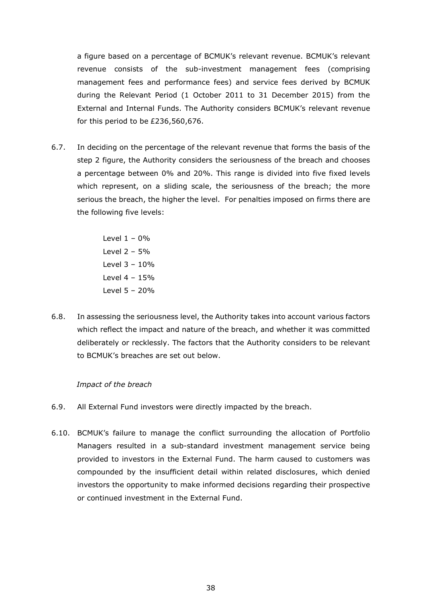a figure based on a percentage of BCMUK's relevant revenue. BCMUK's relevant revenue consists of the sub-investment management fees (comprising management fees and performance fees) and service fees derived by BCMUK during the Relevant Period (1 October 2011 to 31 December 2015) from the External and Internal Funds. The Authority considers BCMUK's relevant revenue for this period to be £236,560,676.

6.7. In deciding on the percentage of the relevant revenue that forms the basis of the step 2 figure, the Authority considers the seriousness of the breach and chooses a percentage between 0% and 20%. This range is divided into five fixed levels which represent, on a sliding scale, the seriousness of the breach; the more serious the breach, the higher the level. For penalties imposed on firms there are the following five levels:

> Level  $1 - 0\%$ Level  $2 - 5%$ Level 3 – 10% Level 4 – 15% Level 5 – 20%

6.8. In assessing the seriousness level, the Authority takes into account various factors which reflect the impact and nature of the breach, and whether it was committed deliberately or recklessly. The factors that the Authority considers to be relevant to BCMUK's breaches are set out below.

#### *Impact of the breach*

- 6.9. All External Fund investors were directly impacted by the breach.
- 6.10. BCMUK's failure to manage the conflict surrounding the allocation of Portfolio Managers resulted in a sub-standard investment management service being provided to investors in the External Fund. The harm caused to customers was compounded by the insufficient detail within related disclosures, which denied investors the opportunity to make informed decisions regarding their prospective or continued investment in the External Fund.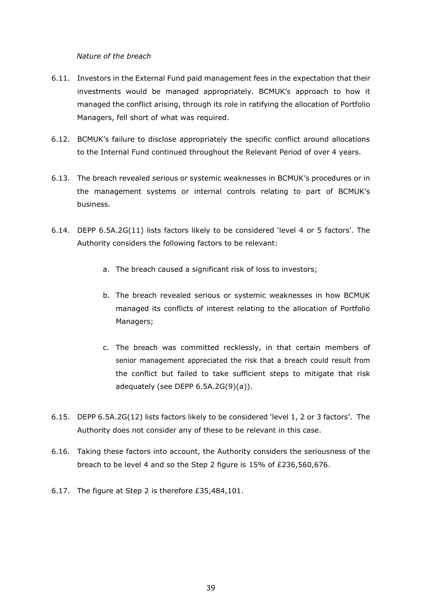*Nature of the breach*

- 6.11. Investors in the External Fund paid management fees in the expectation that their investments would be managed appropriately. BCMUK's approach to how it managed the conflict arising, through its role in ratifying the allocation of Portfolio Managers, fell short of what was required.
- 6.12. BCMUK's failure to disclose appropriately the specific conflict around allocations to the Internal Fund continued throughout the Relevant Period of over 4 years.
- 6.13. The breach revealed serious or systemic weaknesses in BCMUK's procedures or in the management systems or internal controls relating to part of BCMUK's business.
- 6.14. DEPP 6.5A.2G(11) lists factors likely to be considered 'level 4 or 5 factors'. The Authority considers the following factors to be relevant:
	- a. The breach caused a significant risk of loss to investors;
	- b. The breach revealed serious or systemic weaknesses in how BCMUK managed its conflicts of interest relating to the allocation of Portfolio Managers;
	- c. The breach was committed recklessly, in that certain members of senior management appreciated the risk that a breach could result from the conflict but failed to take sufficient steps to mitigate that risk adequately (see DEPP  $6.5A.2G(9)(a)$ ).
- 6.15. DEPP 6.5A.2G(12) lists factors likely to be considered 'level 1, 2 or 3 factors'. The Authority does not consider any of these to be relevant in this case.
- 6.16. Taking these factors into account, the Authority considers the seriousness of the breach to be level 4 and so the Step 2 figure is 15% of £236,560,676.
- 6.17. The figure at Step 2 is therefore £35,484,101.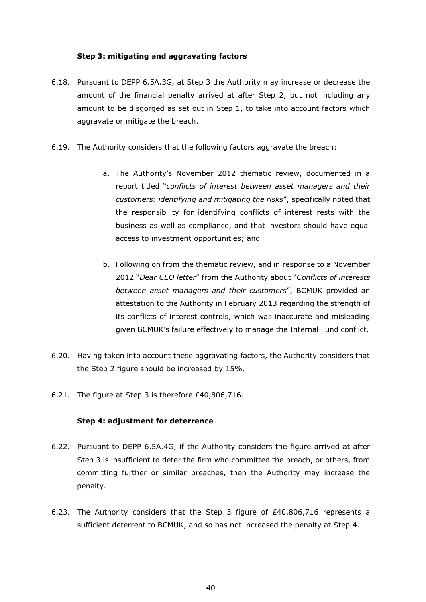## **Step 3: mitigating and aggravating factors**

- 6.18. Pursuant to DEPP 6.5A.3G, at Step 3 the Authority may increase or decrease the amount of the financial penalty arrived at after Step 2, but not including any amount to be disgorged as set out in Step 1, to take into account factors which aggravate or mitigate the breach.
- 6.19. The Authority considers that the following factors aggravate the breach:
	- a. The Authority's November 2012 thematic review, documented in a report titled "*conflicts of interest between asset managers and their customers: identifying and mitigating the risks*", specifically noted that the responsibility for identifying conflicts of interest rests with the business as well as compliance, and that investors should have equal access to investment opportunities; and
	- b. Following on from the thematic review, and in response to a November 2012 "*Dear CEO letter*" from the Authority about "*Conflicts of interests between asset managers and their customers*", BCMUK provided an attestation to the Authority in February 2013 regarding the strength of its conflicts of interest controls, which was inaccurate and misleading given BCMUK's failure effectively to manage the Internal Fund conflict.
- 6.20. Having taken into account these aggravating factors, the Authority considers that the Step 2 figure should be increased by 15%.
- 6.21. The figure at Step 3 is therefore £40,806,716.

#### **Step 4: adjustment for deterrence**

- 6.22. Pursuant to DEPP 6.5A.4G, if the Authority considers the figure arrived at after Step 3 is insufficient to deter the firm who committed the breach, or others, from committing further or similar breaches, then the Authority may increase the penalty.
- 6.23. The Authority considers that the Step 3 figure of £40,806,716 represents a sufficient deterrent to BCMUK, and so has not increased the penalty at Step 4.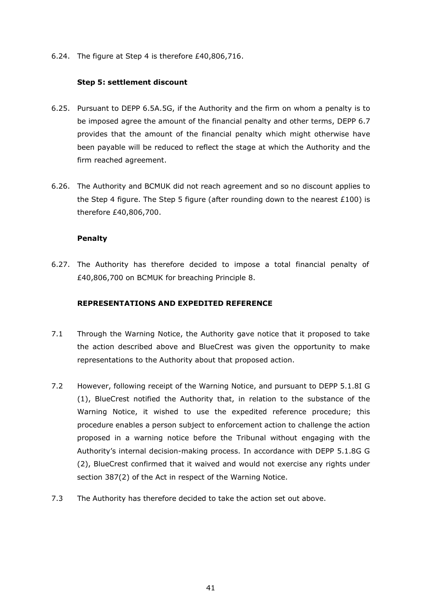6.24. The figure at Step 4 is therefore £40,806,716.

## **Step 5: settlement discount**

- 6.25. Pursuant to DEPP 6.5A.5G, if the Authority and the firm on whom a penalty is to be imposed agree the amount of the financial penalty and other terms, DEPP 6.7 provides that the amount of the financial penalty which might otherwise have been payable will be reduced to reflect the stage at which the Authority and the firm reached agreement.
- 6.26. The Authority and BCMUK did not reach agreement and so no discount applies to the Step 4 figure. The Step 5 figure (after rounding down to the nearest £100) is therefore £40,806,700.

## **Penalty**

6.27. The Authority has therefore decided to impose a total financial penalty of £40,806,700 on BCMUK for breaching Principle 8.

# **REPRESENTATIONS AND EXPEDITED REFERENCE**

- 7.1 Through the Warning Notice, the Authority gave notice that it proposed to take the action described above and BlueCrest was given the opportunity to make representations to the Authority about that proposed action.
- 7.2 However, following receipt of the Warning Notice, and pursuant to DEPP 5.1.8I G (1), BlueCrest notified the Authority that, in relation to the substance of the Warning Notice, it wished to use the expedited reference procedure; this procedure enables a person subject to enforcement action to challenge the action proposed in a warning notice before the Tribunal without engaging with the Authority's internal decision-making process. In accordance with DEPP 5.1.8G G (2), BlueCrest confirmed that it waived and would not exercise any rights under section 387(2) of the Act in respect of the Warning Notice.
- 7.3 The Authority has therefore decided to take the action set out above.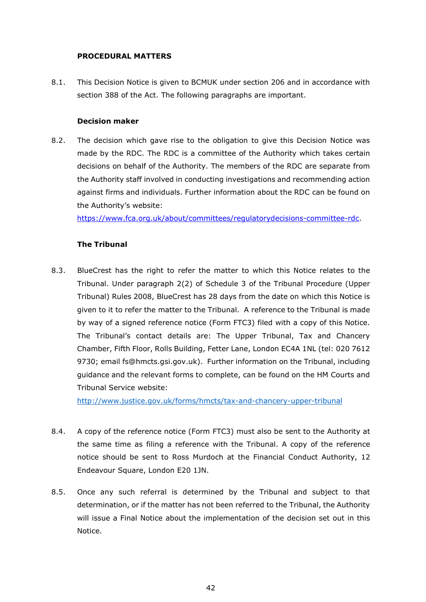## **PROCEDURAL MATTERS**

8.1. This Decision Notice is given to BCMUK under section 206 and in accordance with section 388 of the Act. The following paragraphs are important.

## **Decision maker**

8.2. The decision which gave rise to the obligation to give this Decision Notice was made by the RDC. The RDC is a committee of the Authority which takes certain decisions on behalf of the Authority. The members of the RDC are separate from the Authority staff involved in conducting investigations and recommending action against firms and individuals. Further information about the RDC can be found on the Authority's website:

[https://www.fca.org.uk/about/committees/regulatorydecisions-committee-rdc.](https://www.fca.org.uk/about/committees/regulatorydecisions-committee-rdc)

# **The Tribunal**

8.3. BlueCrest has the right to refer the matter to which this Notice relates to the Tribunal. Under paragraph 2(2) of Schedule 3 of the Tribunal Procedure (Upper Tribunal) Rules 2008, BlueCrest has 28 days from the date on which this Notice is given to it to refer the matter to the Tribunal. A reference to the Tribunal is made by way of a signed reference notice (Form FTC3) filed with a copy of this Notice. The Tribunal's contact details are: The Upper Tribunal, Tax and Chancery Chamber, Fifth Floor, Rolls Building, Fetter Lane, London EC4A 1NL (tel: 020 7612 9730; email fs@hmcts.gsi.gov.uk). Further information on the Tribunal, including guidance and the relevant forms to complete, can be found on the HM Courts and Tribunal Service website:

<http://www.justice.gov.uk/forms/hmcts/tax-and-chancery-upper-tribunal>

- 8.4. A copy of the reference notice (Form FTC3) must also be sent to the Authority at the same time as filing a reference with the Tribunal. A copy of the reference notice should be sent to Ross Murdoch at the Financial Conduct Authority, 12 Endeavour Square, London E20 1JN.
- 8.5. Once any such referral is determined by the Tribunal and subject to that determination, or if the matter has not been referred to the Tribunal, the Authority will issue a Final Notice about the implementation of the decision set out in this Notice.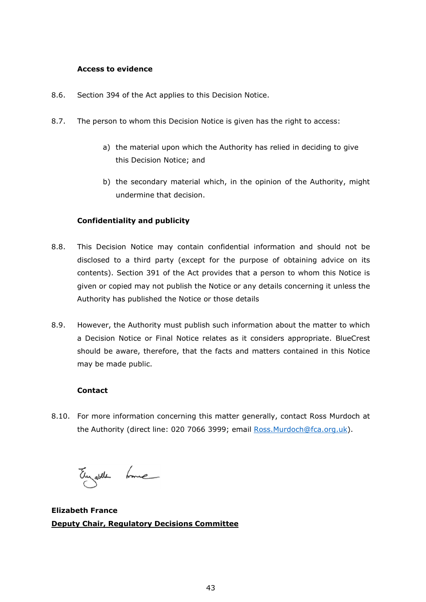## **Access to evidence**

- 8.6. Section 394 of the Act applies to this Decision Notice.
- 8.7. The person to whom this Decision Notice is given has the right to access:
	- a) the material upon which the Authority has relied in deciding to give this Decision Notice; and
	- b) the secondary material which, in the opinion of the Authority, might undermine that decision.

# **Confidentiality and publicity**

- 8.8. This Decision Notice may contain confidential information and should not be disclosed to a third party (except for the purpose of obtaining advice on its contents). Section 391 of the Act provides that a person to whom this Notice is given or copied may not publish the Notice or any details concerning it unless the Authority has published the Notice or those details
- 8.9. However, the Authority must publish such information about the matter to which a Decision Notice or Final Notice relates as it considers appropriate. BlueCrest should be aware, therefore, that the facts and matters contained in this Notice may be made public.

# **Contact**

8.10. For more information concerning this matter generally, contact Ross Murdoch at the Authority (direct line: 020 7066 3999; email Ross. Murdoch@fca.org.uk).

Eugeble Loue

**Elizabeth France Deputy Chair, Regulatory Decisions Committee**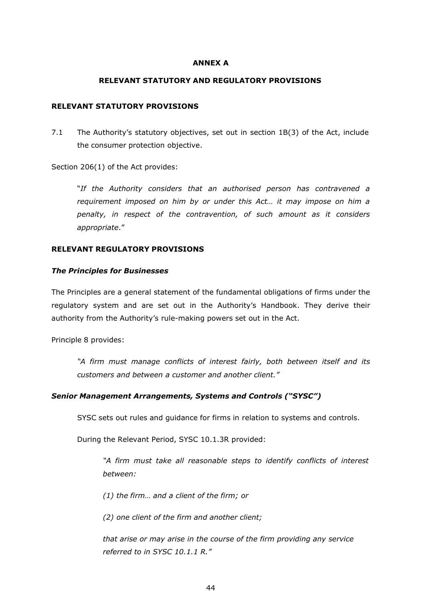#### **ANNEX A**

### **RELEVANT STATUTORY AND REGULATORY PROVISIONS**

#### **RELEVANT STATUTORY PROVISIONS**

7.1 The Authority's statutory objectives, set out in section 1B(3) of the Act, include the consumer protection objective.

Section 206(1) of the Act provides:

"*If the Authority considers that an authorised person has contravened a requirement imposed on him by or under this Act… it may impose on him a penalty, in respect of the contravention, of such amount as it considers appropriate*."

#### **RELEVANT REGULATORY PROVISIONS**

#### *The Principles for Businesses*

The Principles are a general statement of the fundamental obligations of firms under the regulatory system and are set out in the Authority's Handbook. They derive their authority from the Authority's rule-making powers set out in the Act.

Principle 8 provides:

*"A firm must manage conflicts of interest fairly, both between itself and its customers and between a customer and another client."*

#### *Senior Management Arrangements, Systems and Controls ("SYSC")*

SYSC sets out rules and guidance for firms in relation to systems and controls.

During the Relevant Period, SYSC 10.1.3R provided:

*"A firm must take all reasonable steps to identify conflicts of interest between:*

*(1) the firm… and a client of the firm; or*

*(2) one client of the firm and another client;*

*that arise or may arise in the course of the firm providing any service referred to in SYSC 10.1.1 R."*